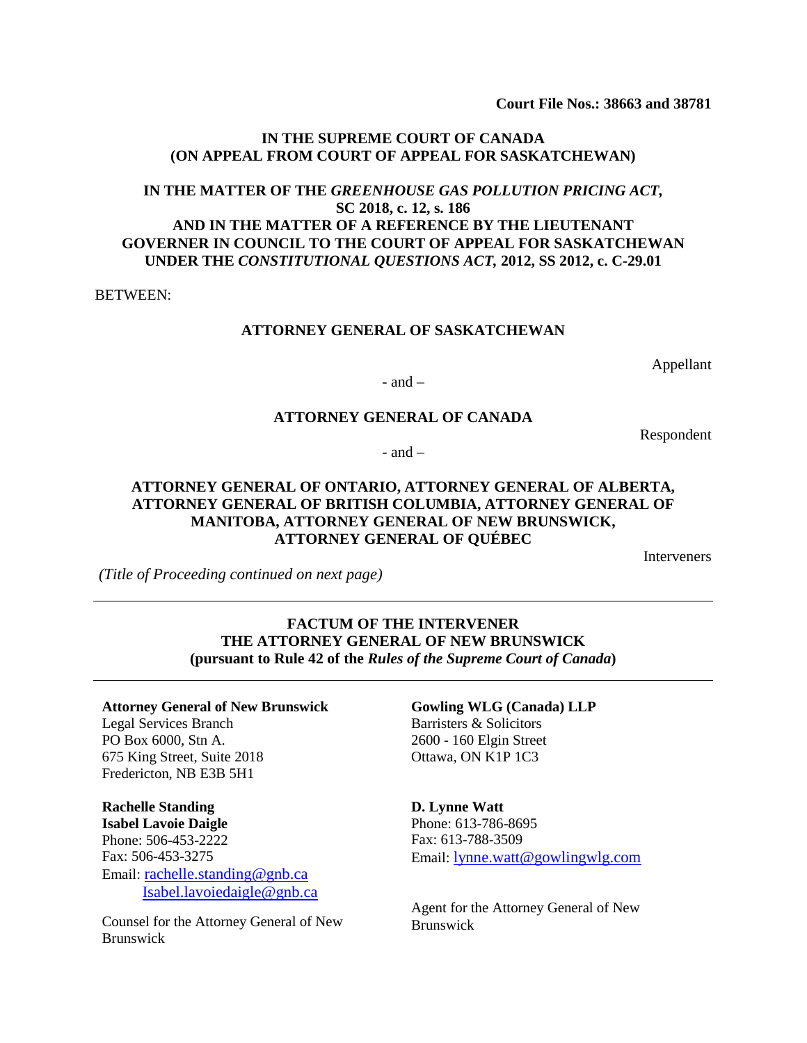**Court File Nos.: 38663 and 38781**

#### **IN THE SUPREME COURT OF CANADA (ON APPEAL FROM COURT OF APPEAL FOR SASKATCHEWAN)**

# **IN THE MATTER OF THE** *GREENHOUSE GAS POLLUTION PRICING ACT,* **SC 2018, c. 12, s. 186 AND IN THE MATTER OF A REFERENCE BY THE LIEUTENANT GOVERNER IN COUNCIL TO THE COURT OF APPEAL FOR SASKATCHEWAN UNDER THE** *CONSTITUTIONAL QUESTIONS ACT,* **2012, SS 2012, c. C-29.01**

BETWEEN:

#### **ATTORNEY GENERAL OF SASKATCHEWAN**

Appellant

Respondent

 $-$  and  $-$ 

#### **ATTORNEY GENERAL OF CANADA**

 $-$  and  $-$ 

## **ATTORNEY GENERAL OF ONTARIO, ATTORNEY GENERAL OF ALBERTA, ATTORNEY GENERAL OF BRITISH COLUMBIA, ATTORNEY GENERAL OF MANITOBA, ATTORNEY GENERAL OF NEW BRUNSWICK, ATTORNEY GENERAL OF QUÉBEC**

Interveners

*(Title of Proceeding continued on next page)*

## **FACTUM OF THE INTERVENER THE ATTORNEY GENERAL OF NEW BRUNSWICK (pursuant to Rule 42 of the** *Rules of the Supreme Court of Canada***)**

#### **Attorney General of New Brunswick** Legal Services Branch PO Box 6000, Stn A. 675 King Street, Suite 2018 Fredericton, NB E3B 5H1

**Rachelle Standing Isabel Lavoie Daigle** Phone: 506-453-2222 Fax: 506-453-3275 Email: [rachelle.standing@gnb.ca](mailto:rachelle.standing@gnb.ca) [Isabel.lavoiedaigle@gnb.ca](mailto:Isabel.lavoiedaigle@gnb.ca)

Counsel for the Attorney General of New Brunswick

# **Gowling WLG (Canada) LLP** Barristers & Solicitors

2600 - 160 Elgin Street Ottawa, ON K1P 1C3

**D. Lynne Watt** Phone: 613-786-8695 Fax: 613-788-3509 Email: [lynne.watt@gowlingwlg.com](mailto:lynne.watt@gowlingwlg.com)

Agent for the Attorney General of New Brunswick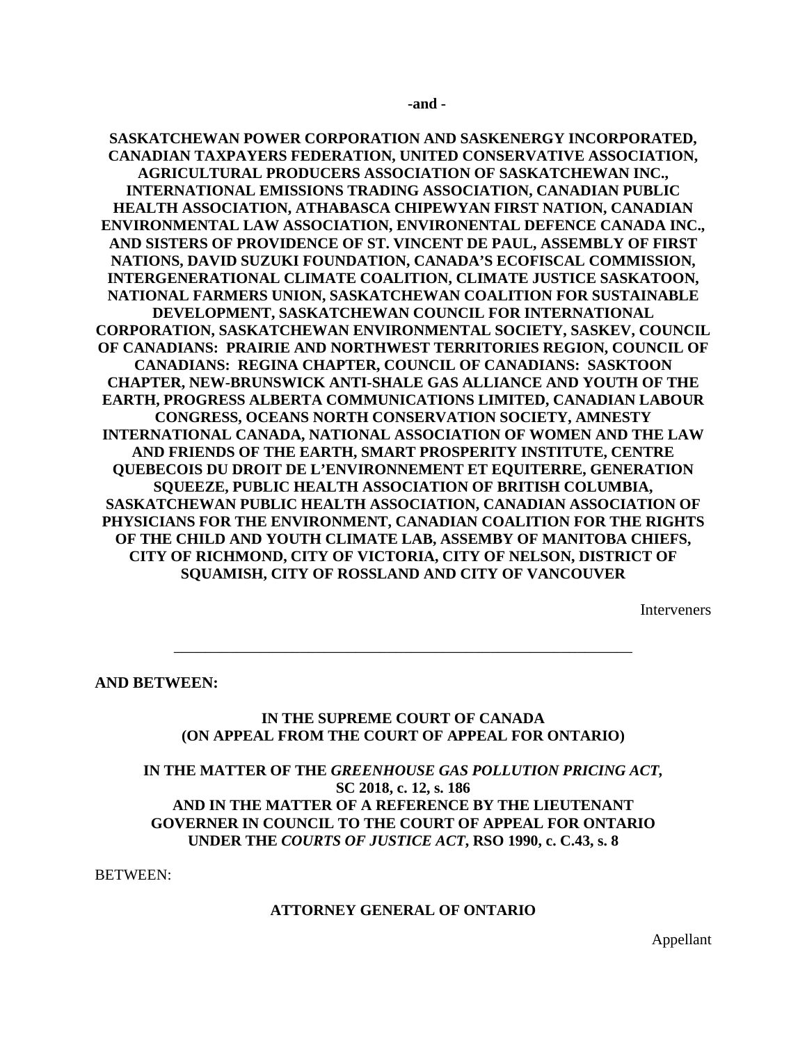**SASKATCHEWAN POWER CORPORATION AND SASKENERGY INCORPORATED, CANADIAN TAXPAYERS FEDERATION, UNITED CONSERVATIVE ASSOCIATION, AGRICULTURAL PRODUCERS ASSOCIATION OF SASKATCHEWAN INC., INTERNATIONAL EMISSIONS TRADING ASSOCIATION, CANADIAN PUBLIC HEALTH ASSOCIATION, ATHABASCA CHIPEWYAN FIRST NATION, CANADIAN ENVIRONMENTAL LAW ASSOCIATION, ENVIRONENTAL DEFENCE CANADA INC., AND SISTERS OF PROVIDENCE OF ST. VINCENT DE PAUL, ASSEMBLY OF FIRST NATIONS, DAVID SUZUKI FOUNDATION, CANADA'S ECOFISCAL COMMISSION, INTERGENERATIONAL CLIMATE COALITION, CLIMATE JUSTICE SASKATOON, NATIONAL FARMERS UNION, SASKATCHEWAN COALITION FOR SUSTAINABLE DEVELOPMENT, SASKATCHEWAN COUNCIL FOR INTERNATIONAL CORPORATION, SASKATCHEWAN ENVIRONMENTAL SOCIETY, SASKEV, COUNCIL OF CANADIANS: PRAIRIE AND NORTHWEST TERRITORIES REGION, COUNCIL OF CANADIANS: REGINA CHAPTER, COUNCIL OF CANADIANS: SASKTOON CHAPTER, NEW-BRUNSWICK ANTI-SHALE GAS ALLIANCE AND YOUTH OF THE EARTH, PROGRESS ALBERTA COMMUNICATIONS LIMITED, CANADIAN LABOUR CONGRESS, OCEANS NORTH CONSERVATION SOCIETY, AMNESTY INTERNATIONAL CANADA, NATIONAL ASSOCIATION OF WOMEN AND THE LAW AND FRIENDS OF THE EARTH, SMART PROSPERITY INSTITUTE, CENTRE QUEBECOIS DU DROIT DE L'ENVIRONNEMENT ET EQUITERRE, GENERATION SQUEEZE, PUBLIC HEALTH ASSOCIATION OF BRITISH COLUMBIA, SASKATCHEWAN PUBLIC HEALTH ASSOCIATION, CANADIAN ASSOCIATION OF PHYSICIANS FOR THE ENVIRONMENT, CANADIAN COALITION FOR THE RIGHTS OF THE CHILD AND YOUTH CLIMATE LAB, ASSEMBY OF MANITOBA CHIEFS, CITY OF RICHMOND, CITY OF VICTORIA, CITY OF NELSON, DISTRICT OF SQUAMISH, CITY OF ROSSLAND AND CITY OF VANCOUVER**

Interveners

**AND BETWEEN:**

#### **IN THE SUPREME COURT OF CANADA (ON APPEAL FROM THE COURT OF APPEAL FOR ONTARIO)**

\_\_\_\_\_\_\_\_\_\_\_\_\_\_\_\_\_\_\_\_\_\_\_\_\_\_\_\_\_\_\_\_\_\_\_\_\_\_\_\_\_\_\_\_\_\_\_\_\_\_\_\_\_\_\_\_\_\_

# **IN THE MATTER OF THE** *GREENHOUSE GAS POLLUTION PRICING ACT,* **SC 2018, c. 12, s. 186 AND IN THE MATTER OF A REFERENCE BY THE LIEUTENANT GOVERNER IN COUNCIL TO THE COURT OF APPEAL FOR ONTARIO UNDER THE** *COURTS OF JUSTICE ACT***, RSO 1990, c. C.43, s. 8**

BETWEEN:

#### **ATTORNEY GENERAL OF ONTARIO**

Appellant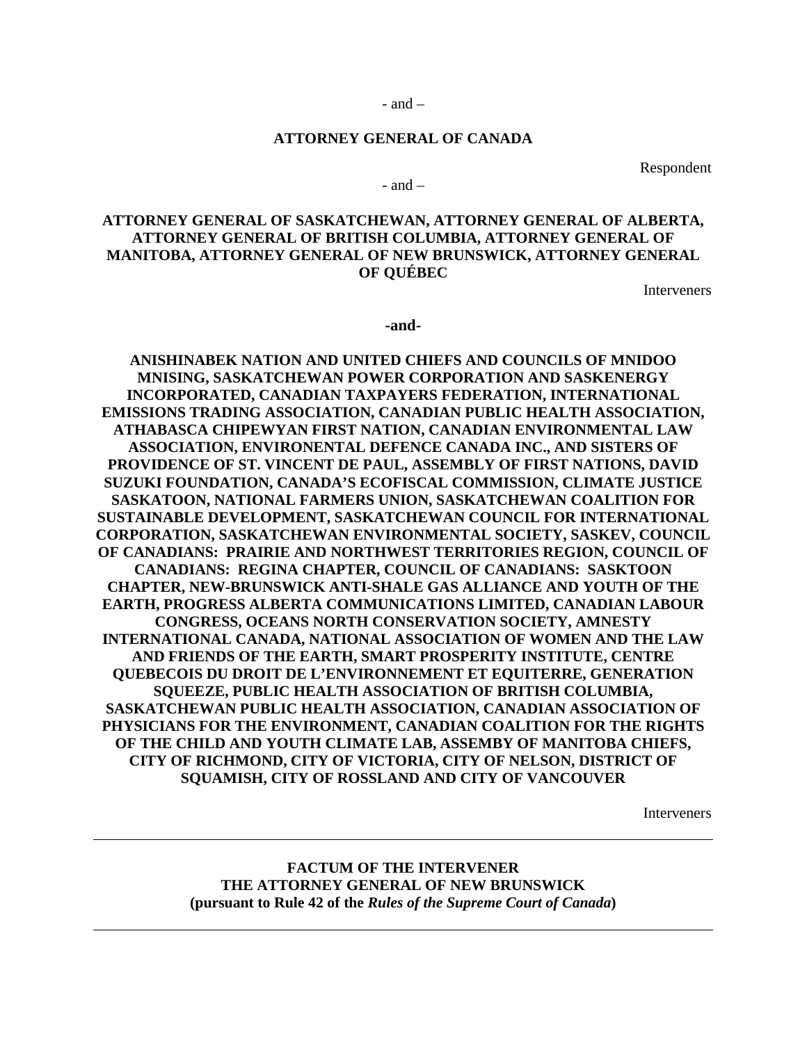#### **ATTORNEY GENERAL OF CANADA**

Respondent

 $-$  and  $-$ 

## **ATTORNEY GENERAL OF SASKATCHEWAN, ATTORNEY GENERAL OF ALBERTA, ATTORNEY GENERAL OF BRITISH COLUMBIA, ATTORNEY GENERAL OF MANITOBA, ATTORNEY GENERAL OF NEW BRUNSWICK, ATTORNEY GENERAL OF QUÉBEC**

Interveners

**-and-**

**ANISHINABEK NATION AND UNITED CHIEFS AND COUNCILS OF MNIDOO MNISING, SASKATCHEWAN POWER CORPORATION AND SASKENERGY INCORPORATED, CANADIAN TAXPAYERS FEDERATION, INTERNATIONAL EMISSIONS TRADING ASSOCIATION, CANADIAN PUBLIC HEALTH ASSOCIATION, ATHABASCA CHIPEWYAN FIRST NATION, CANADIAN ENVIRONMENTAL LAW ASSOCIATION, ENVIRONENTAL DEFENCE CANADA INC., AND SISTERS OF PROVIDENCE OF ST. VINCENT DE PAUL, ASSEMBLY OF FIRST NATIONS, DAVID SUZUKI FOUNDATION, CANADA'S ECOFISCAL COMMISSION, CLIMATE JUSTICE SASKATOON, NATIONAL FARMERS UNION, SASKATCHEWAN COALITION FOR SUSTAINABLE DEVELOPMENT, SASKATCHEWAN COUNCIL FOR INTERNATIONAL CORPORATION, SASKATCHEWAN ENVIRONMENTAL SOCIETY, SASKEV, COUNCIL OF CANADIANS: PRAIRIE AND NORTHWEST TERRITORIES REGION, COUNCIL OF CANADIANS: REGINA CHAPTER, COUNCIL OF CANADIANS: SASKTOON CHAPTER, NEW-BRUNSWICK ANTI-SHALE GAS ALLIANCE AND YOUTH OF THE EARTH, PROGRESS ALBERTA COMMUNICATIONS LIMITED, CANADIAN LABOUR CONGRESS, OCEANS NORTH CONSERVATION SOCIETY, AMNESTY INTERNATIONAL CANADA, NATIONAL ASSOCIATION OF WOMEN AND THE LAW AND FRIENDS OF THE EARTH, SMART PROSPERITY INSTITUTE, CENTRE QUEBECOIS DU DROIT DE L'ENVIRONNEMENT ET EQUITERRE, GENERATION SQUEEZE, PUBLIC HEALTH ASSOCIATION OF BRITISH COLUMBIA, SASKATCHEWAN PUBLIC HEALTH ASSOCIATION, CANADIAN ASSOCIATION OF PHYSICIANS FOR THE ENVIRONMENT, CANADIAN COALITION FOR THE RIGHTS OF THE CHILD AND YOUTH CLIMATE LAB, ASSEMBY OF MANITOBA CHIEFS, CITY OF RICHMOND, CITY OF VICTORIA, CITY OF NELSON, DISTRICT OF SQUAMISH, CITY OF ROSSLAND AND CITY OF VANCOUVER**

Interveners

## **FACTUM OF THE INTERVENER THE ATTORNEY GENERAL OF NEW BRUNSWICK (pursuant to Rule 42 of the** *Rules of the Supreme Court of Canada***)**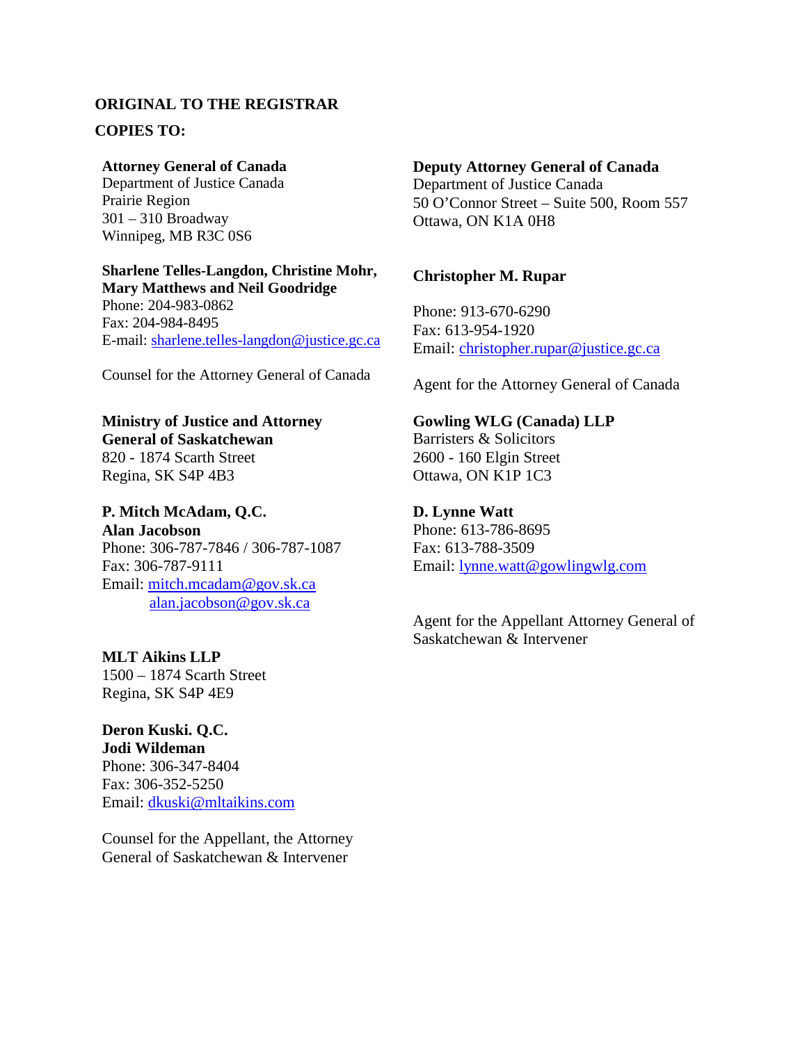# **ORIGINAL TO THE REGISTRAR COPIES TO:**

## **Attorney General of Canada**

Department of Justice Canada Prairie Region 301 – 310 Broadway Winnipeg, MB R3C 0S6

#### **Sharlene Telles-Langdon, Christine Mohr, Mary Matthews and Neil Goodridge**

Phone: 204-983-0862 Fax: 204-984-8495 E-mail: sharlene.telles-langdon@justice.gc.ca

Counsel for the Attorney General of Canada

## **Ministry of Justice and Attorney General of Saskatchewan** 820 - 1874 Scarth Street

Regina, SK S4P 4B3

# **P. Mitch McAdam, Q.C. Alan Jacobson** Phone: 306-787-7846 / 306-787-1087 Fax: 306-787-9111 Email: mitch.mcadam@gov.sk.ca

[alan.jacobson@gov.sk.ca](mailto:alan.jacobson@gov.sk.ca)

# **MLT Aikins LLP**

1500 – 1874 Scarth Street Regina, SK S4P 4E9

# **Deron Kuski. Q.C.**

**Jodi Wildeman** Phone: 306-347-8404 Fax: 306-352-5250 Email: [dkuski@mltaikins.com](mailto:dkuski@mltaikins.com)

Counsel for the Appellant, the Attorney General of Saskatchewan & Intervener

# **Deputy Attorney General of Canada** Department of Justice Canada

50 O'Connor Street – Suite 500, Room 557 Ottawa, ON K1A 0H8

# **Christopher M. Rupar**

Phone: 913-670-6290 Fax: 613-954-1920 Email: [christopher.rupar@justice.gc.ca](mailto:christopher.rupar@justice.gc.ca)

Agent for the Attorney General of Canada

# **Gowling WLG (Canada) LLP**

Barristers & Solicitors 2600 - 160 Elgin Street Ottawa, ON K1P 1C3

# **D. Lynne Watt**

Phone: 613-786-8695 Fax: 613-788-3509 Email: lynne.watt@gowlingwlg.com

Agent for the Appellant Attorney General of Saskatchewan & Intervener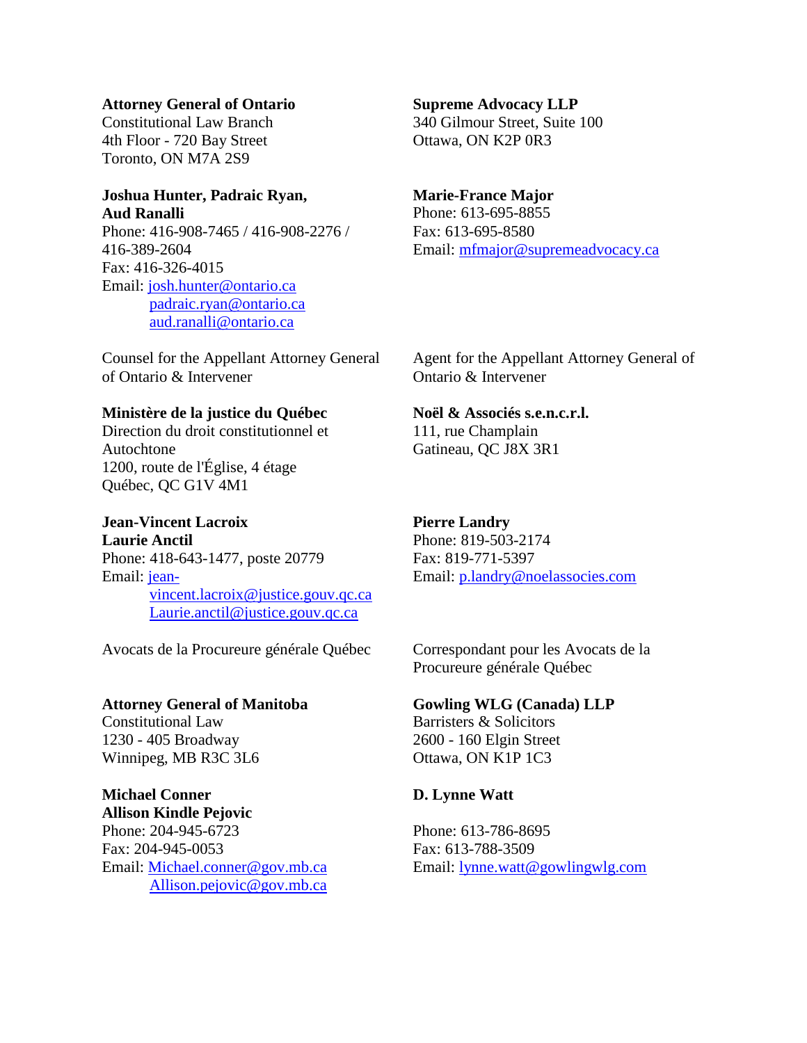#### **Attorney General of Ontario**

Constitutional Law Branch 4th Floor - 720 Bay Street Toronto, ON M7A 2S9

# **Joshua Hunter, Padraic Ryan, Aud Ranalli**

Phone: 416-908-7465 / 416-908-2276 / 416-389-2604 Fax: 416-326-4015 Email: josh.hunter@ontario.ca padraic.ryan@ontario.ca [aud.ranalli@ontario.ca](mailto:aud.ranalli@ontario.ca)

Counsel for the Appellant Attorney General of Ontario & Intervener

# **Ministère de la justice du Québec**

Direction du droit constitutionnel et Autochtone 1200, route de l'Église, 4 étage Québec, QC G1V 4M1

# **Jean-Vincent Lacroix**

**Laurie Anctil** Phone: 418-643-1477, poste 20779 Email: jeanvincent.lacroix@justice.gouv.qc.ca [Laurie.anctil@justice.gouv.qc.ca](mailto:Laurie.anctil@justice.gouv.qc.ca)

Avocats de la Procureure générale Québec

# **Attorney General of Manitoba**

Constitutional Law 1230 - 405 Broadway Winnipeg, MB R3C 3L6

# **Michael Conner**

**Allison Kindle Pejovic** Phone: 204-945-6723 Fax: 204-945-0053 Email: Michael.conner@gov.mb.ca [Allison.pejovic@gov.mb.ca](mailto:Allison.pejovic@gov.mb.ca)

## **Supreme Advocacy LLP**

340 Gilmour Street, Suite 100 Ottawa, ON K2P 0R3

# **Marie-France Major**

Phone: 613-695-8855 Fax: 613-695-8580 Email: [mfmajor@supremeadvocacy.ca](mailto:mfmajor@supremeadvocacy.ca)

Agent for the Appellant Attorney General of Ontario & Intervener

# **Noël & Associés s.e.n.c.r.l.**

111, rue Champlain Gatineau, QC J8X 3R1

# **Pierre Landry**

Phone: 819-503-2174 Fax: 819-771-5397 Email: p.landry@noelassocies.com

Correspondant pour les Avocats de la Procureure générale Québec

# **Gowling WLG (Canada) LLP**

Barristers & Solicitors 2600 - 160 Elgin Street Ottawa, ON K1P 1C3

# **D. Lynne Watt**

Phone: 613-786-8695 Fax: 613-788-3509 Email: [lynne.watt@gowlingwlg.com](mailto:lynne.watt@gowlingwlg.com)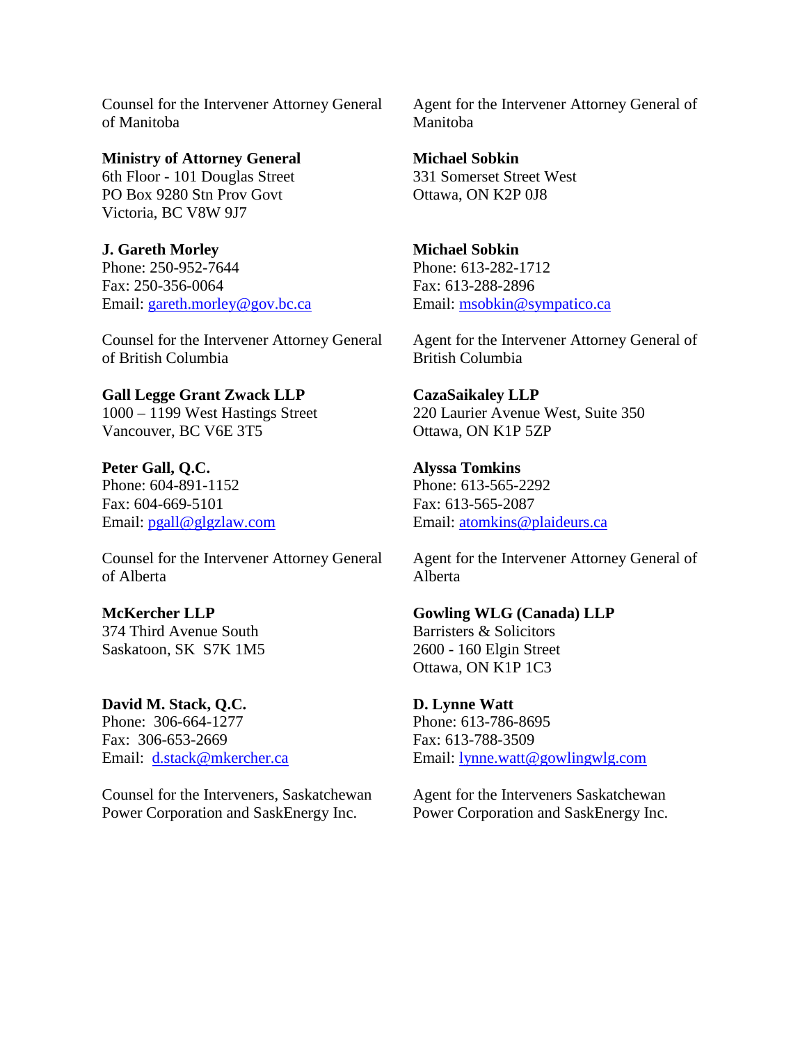Counsel for the Intervener Attorney General of Manitoba

**Ministry of Attorney General** 6th Floor - 101 Douglas Street PO Box 9280 Stn Prov Govt Victoria, BC V8W 9J7

**J. Gareth Morley** Phone: 250-952-7644 Fax: 250-356-0064 Email: [gareth.morley@gov.bc.ca](mailto:gareth.morley@gov.bc.ca)

Counsel for the Intervener Attorney General of British Columbia

**Gall Legge Grant Zwack LLP** 1000 – 1199 West Hastings Street Vancouver, BC V6E 3T5

**Peter Gall, Q.C.** Phone: 604-891-1152 Fax: 604-669-5101 Email: [pgall@glgzlaw.com](mailto:pgall@glgzlaw.com)

Counsel for the Intervener Attorney General of Alberta

**McKercher LLP** 374 Third Avenue South Saskatoon, SK S7K 1M5

**David M. Stack, Q.C.** Phone: 306-664-1277 Fax: 306-653-2669 Email: [d.stack@mkercher.ca](mailto:d.stack@mkercher.ca)

Counsel for the Interveners, Saskatchewan Power Corporation and SaskEnergy Inc.

Agent for the Intervener Attorney General of Manitoba

**Michael Sobkin** 331 Somerset Street West Ottawa, ON K2P 0J8

**Michael Sobkin** Phone: 613-282-1712 Fax: 613-288-2896 Email: [msobkin@sympatico.ca](mailto:msobkin@sympatico.ca)

Agent for the Intervener Attorney General of British Columbia

**CazaSaikaley LLP** 220 Laurier Avenue West, Suite 350 Ottawa, ON K1P 5ZP

**Alyssa Tomkins** Phone: 613-565-2292 Fax: 613-565-2087 Email: [atomkins@plaideurs.ca](mailto:atomkins@plaideurs.ca)

Agent for the Intervener Attorney General of Alberta

**Gowling WLG (Canada) LLP** Barristers & Solicitors 2600 - 160 Elgin Street Ottawa, ON K1P 1C3

**D. Lynne Watt** Phone: 613-786-8695 Fax: 613-788-3509 Email: [lynne.watt@gowlingwlg.com](mailto:lynne.watt@gowlingwlg.com)

Agent for the Interveners Saskatchewan Power Corporation and SaskEnergy Inc.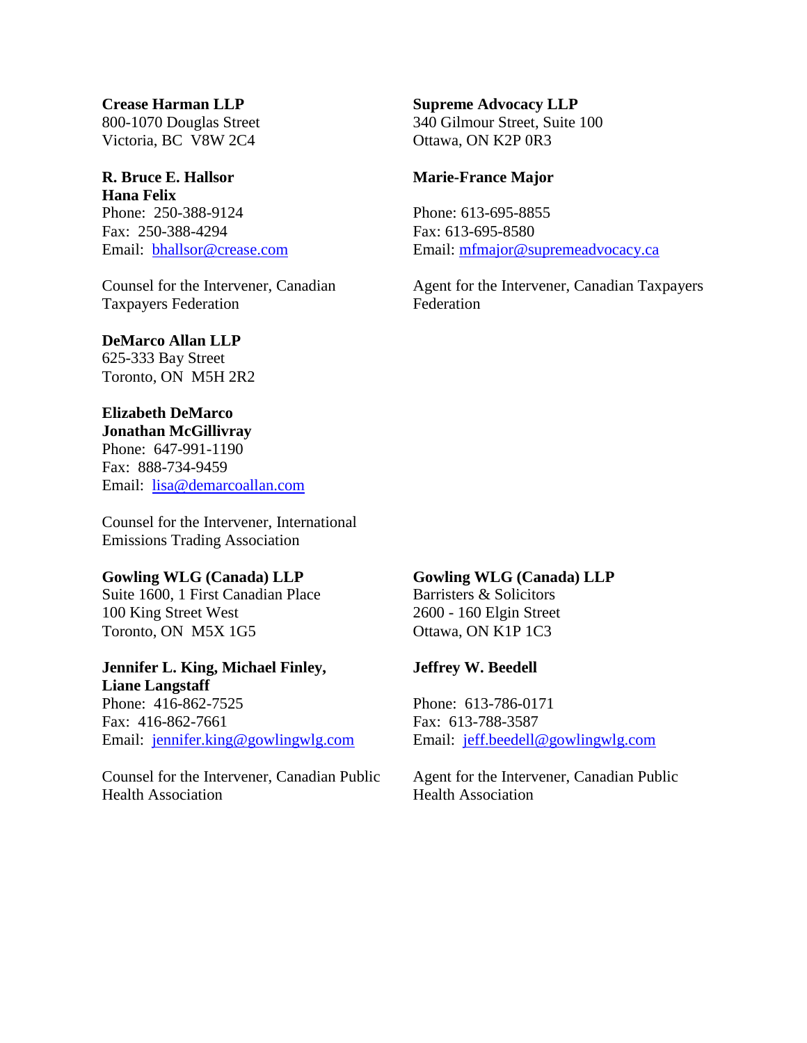# **Crease Harman LLP**

800-1070 Douglas Street Victoria, BC V8W 2C4

# **R. Bruce E. Hallsor**

**Hana Felix** Phone: 250-388-9124 Fax: 250-388-4294 Email: [bhallsor@crease.com](mailto:bhallsor@crease.com)

Counsel for the Intervener, Canadian Taxpayers Federation

# **DeMarco Allan LLP**

625-333 Bay Street Toronto, ON M5H 2R2

# **Elizabeth DeMarco**

**Jonathan McGillivray** Phone: 647-991-1190 Fax: 888-734-9459 Email: [lisa@demarcoallan.com](mailto:lisa@demarcoallan.com)

Counsel for the Intervener, International Emissions Trading Association

# **Gowling WLG (Canada) LLP**

Suite 1600, 1 First Canadian Place 100 King Street West Toronto, ON M5X 1G5

# **Jennifer L. King, Michael Finley, Liane Langstaff**

Phone: 416-862-7525 Fax: 416-862-7661 Email: [jennifer.king@gowlingwlg.com](mailto:jennifer.king@gowlingwlg.com)

Counsel for the Intervener, Canadian Public Health Association

# **Supreme Advocacy LLP**

340 Gilmour Street, Suite 100 Ottawa, ON K2P 0R3

# **Marie-France Major**

Phone: 613-695-8855 Fax: 613-695-8580 Email: [mfmajor@supremeadvocacy.ca](mailto:mfmajor@supremeadvocacy.ca)

Agent for the Intervener, Canadian Taxpayers Federation

### **Gowling WLG (Canada) LLP** Barristers & Solicitors

2600 - 160 Elgin Street Ottawa, ON K1P 1C3

# **Jeffrey W. Beedell**

Phone: 613-786-0171 Fax: 613-788-3587 Email: [jeff.beedell@gowlingwlg.com](mailto:jeff.beedell@gowlingwlg.com)

Agent for the Intervener, Canadian Public Health Association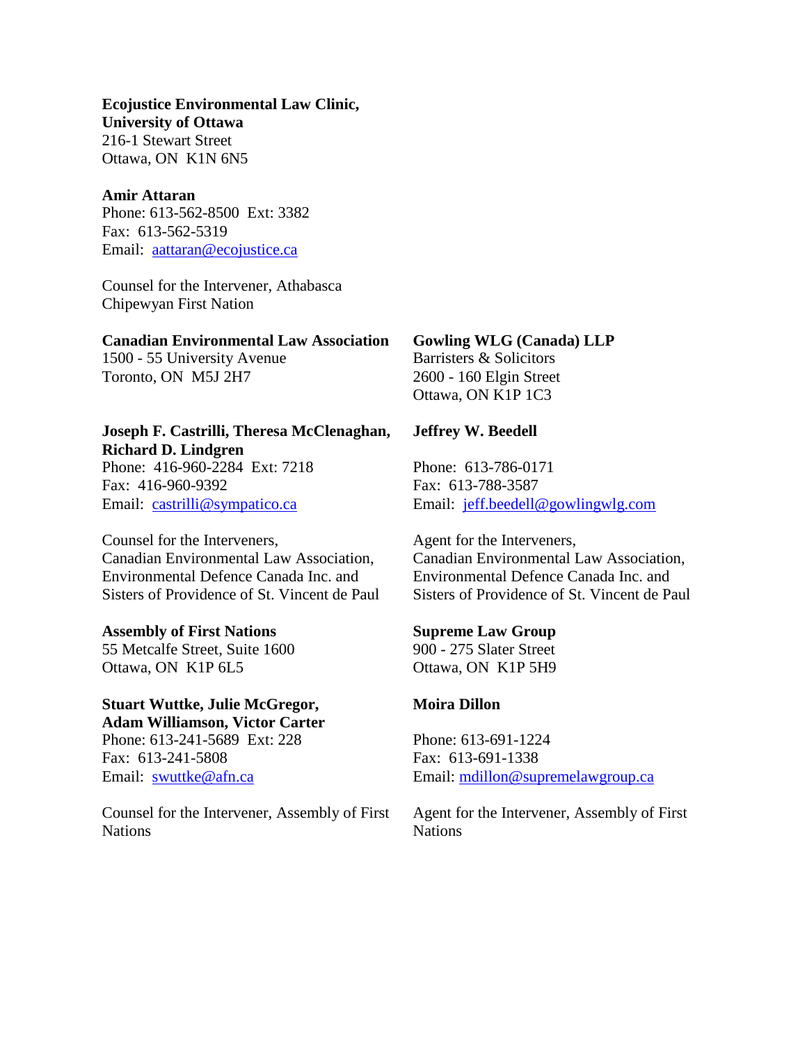# **Ecojustice Environmental Law Clinic, University of Ottawa** 216-1 Stewart Street Ottawa, ON K1N 6N5

#### **Amir Attaran**

Phone: 613-562-8500 Ext: 3382 Fax: 613-562-5319 Email: [aattaran@ecojustice.ca](mailto:aattaran@ecojustice.ca)

Counsel for the Intervener, Athabasca Chipewyan First Nation

#### **Canadian Environmental Law Association**

1500 - 55 University Avenue Toronto, ON M5J 2H7

# **Joseph F. Castrilli, Theresa McClenaghan, Richard D. Lindgren**

Phone: 416-960-2284 Ext: 7218 Fax: 416-960-9392 Email: [castrilli@sympatico.ca](mailto:castrilli@sympatico.ca)

Counsel for the Interveners, Canadian Environmental Law Association, Environmental Defence Canada Inc. and Sisters of Providence of St. Vincent de Paul

#### **Assembly of First Nations**

55 Metcalfe Street, Suite 1600 Ottawa, ON K1P 6L5

# **Stuart Wuttke, Julie McGregor, Adam Williamson, Victor Carter**

Phone: 613-241-5689 Ext: 228 Fax: 613-241-5808 Email: [swuttke@afn.ca](mailto:swuttke@afn.ca)

Counsel for the Intervener, Assembly of First Nations

# **Gowling WLG (Canada) LLP**

Barristers & Solicitors 2600 - 160 Elgin Street Ottawa, ON K1P 1C3

### **Jeffrey W. Beedell**

Phone: 613-786-0171 Fax: 613-788-3587 Email: [jeff.beedell@gowlingwlg.com](mailto:jeff.beedell@gowlingwlg.com)

Agent for the Interveners, Canadian Environmental Law Association, Environmental Defence Canada Inc. and Sisters of Providence of St. Vincent de Paul

# **Supreme Law Group**

900 - 275 Slater Street Ottawa, ON K1P 5H9

#### **Moira Dillon**

Phone: 613-691-1224 Fax: 613-691-1338 Email: [mdillon@supremelawgroup.ca](mailto:mdillon@supremelawgroup.ca)

Agent for the Intervener, Assembly of First **Nations**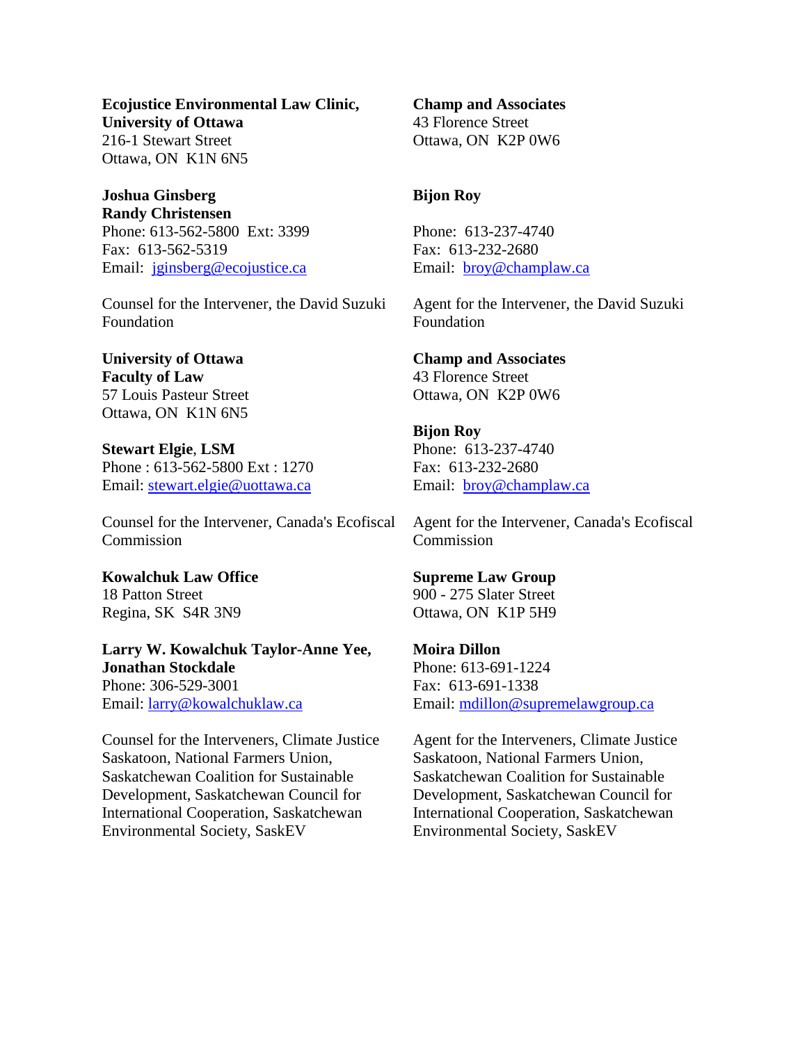**Ecojustice Environmental Law Clinic, University of Ottawa** 216-1 Stewart Street Ottawa, ON K1N 6N5

**Joshua Ginsberg Randy Christensen** Phone: 613-562-5800 Ext: 3399 Fax: 613-562-5319 Email: [jginsberg@ecojustice.ca](mailto:jginsberg@ecojustice.ca)

Counsel for the Intervener, the David Suzuki Foundation

**University of Ottawa Faculty of Law** 57 Louis Pasteur Street Ottawa, ON K1N 6N5

**Stewart Elgie**, **LSM** Phone : 613-562-5800 Ext : 1270 Email: stewart.elgie@uottawa.ca

Counsel for the Intervener, Canada's Ecofiscal Commission

**Kowalchuk Law Office** 18 Patton Street Regina, SK S4R 3N9

**Larry W. Kowalchuk Taylor-Anne Yee, Jonathan Stockdale** Phone: 306-529-3001 Email: [larry@kowalchuklaw.ca](mailto:larry@kowalchuklaw.ca)

Counsel for the Interveners, Climate Justice Saskatoon, National Farmers Union, Saskatchewan Coalition for Sustainable Development, Saskatchewan Council for International Cooperation, Saskatchewan Environmental Society, SaskEV

**Champ and Associates** 43 Florence Street Ottawa, ON K2P 0W6

# **Bijon Roy**

Phone: 613-237-4740 Fax: 613-232-2680 Email: [broy@champlaw.ca](mailto:broy@champlaw.ca)

Agent for the Intervener, the David Suzuki Foundation

#### **Champ and Associates**

43 Florence Street Ottawa, ON K2P 0W6

#### **Bijon Roy**

Phone: 613-237-4740 Fax: 613-232-2680 Email: [broy@champlaw.ca](mailto:broy@champlaw.ca)

Agent for the Intervener, Canada's Ecofiscal Commission

#### **Supreme Law Group**

900 - 275 Slater Street Ottawa, ON K1P 5H9

#### **Moira Dillon**

Phone: 613-691-1224 Fax: 613-691-1338 Email: [mdillon@supremelawgroup.ca](mailto:mdillon@supremelawgroup.ca)

Agent for the Interveners, Climate Justice Saskatoon, National Farmers Union, Saskatchewan Coalition for Sustainable Development, Saskatchewan Council for International Cooperation, Saskatchewan Environmental Society, SaskEV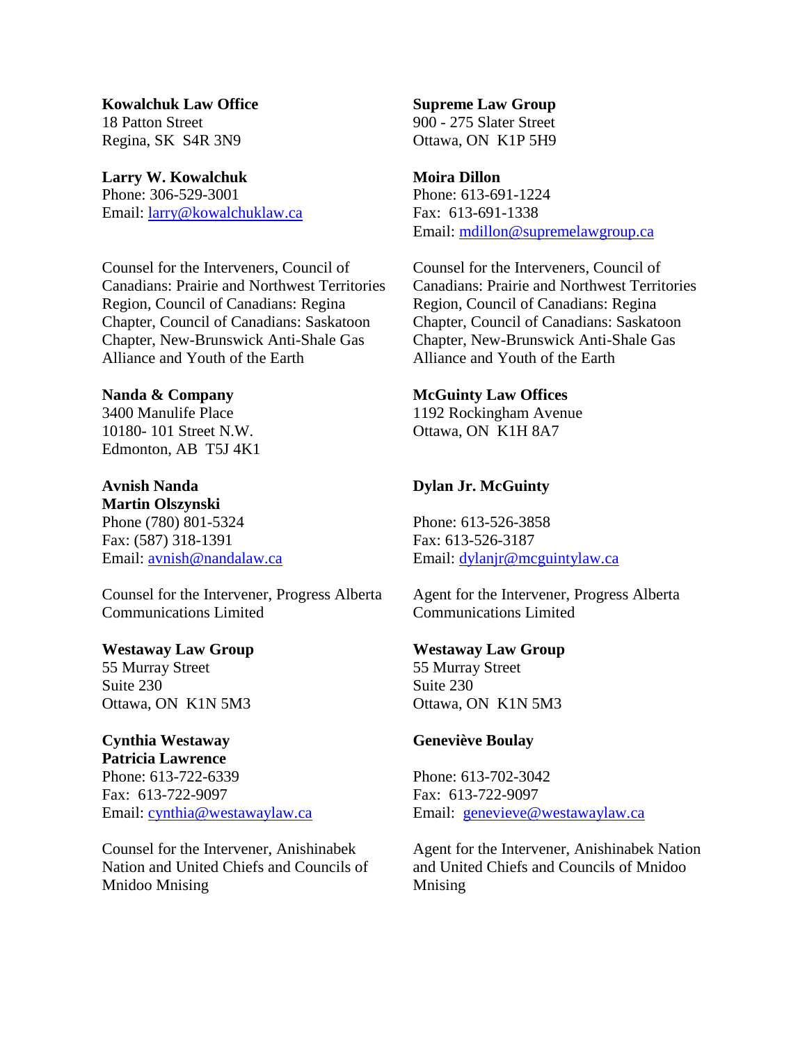**Kowalchuk Law Office** 18 Patton Street Regina, SK S4R 3N9

**Larry W. Kowalchuk** Phone: 306-529-3001 Email: [larry@kowalchuklaw.ca](mailto:larry@kowalchuklaw.ca)

Counsel for the Interveners, Council of Canadians: Prairie and Northwest Territories Region, Council of Canadians: Regina Chapter, Council of Canadians: Saskatoon Chapter, New-Brunswick Anti-Shale Gas Alliance and Youth of the Earth

## **Nanda & Company**

3400 Manulife Place 10180- 101 Street N.W. Edmonton, AB T5J 4K1

**Avnish Nanda Martin Olszynski** Phone (780) 801-5324 Fax: (587) 318-1391 Email: [avnish@nandalaw.ca](mailto:avnish@nandalaw.ca)

Counsel for the Intervener, Progress Alberta Communications Limited

#### **Westaway Law Group**

55 Murray Street Suite 230 Ottawa, ON K1N 5M3

# **Cynthia Westaway**

**Patricia Lawrence** Phone: 613-722-6339 Fax: 613-722-9097 Email: [cynthia@westawaylaw.ca](mailto:cynthia@westawaylaw.ca)

Counsel for the Intervener, Anishinabek Nation and United Chiefs and Councils of Mnidoo Mnising

**Supreme Law Group** 900 - 275 Slater Street Ottawa, ON K1P 5H9

# **Moira Dillon**

Phone: 613-691-1224 Fax: 613-691-1338 Email: [mdillon@supremelawgroup.ca](mailto:mdillon@supremelawgroup.ca)

Counsel for the Interveners, Council of Canadians: Prairie and Northwest Territories Region, Council of Canadians: Regina Chapter, Council of Canadians: Saskatoon Chapter, New-Brunswick Anti-Shale Gas Alliance and Youth of the Earth

# **McGuinty Law Offices**

1192 Rockingham Avenue Ottawa, ON K1H 8A7

# **Dylan Jr. McGuinty**

Phone: 613-526-3858 Fax: 613-526-3187 Email: [dylanjr@mcguintylaw.ca](mailto:dylanjr@mcguintylaw.ca)

Agent for the Intervener, Progress Alberta Communications Limited

# **Westaway Law Group**

55 Murray Street Suite 230 Ottawa, ON K1N 5M3

# **Geneviève Boulay**

Phone: 613-702-3042 Fax: 613-722-9097 Email: [genevieve@westawaylaw.ca](mailto:genevieve@westawaylaw.ca)

Agent for the Intervener, Anishinabek Nation and United Chiefs and Councils of Mnidoo Mnising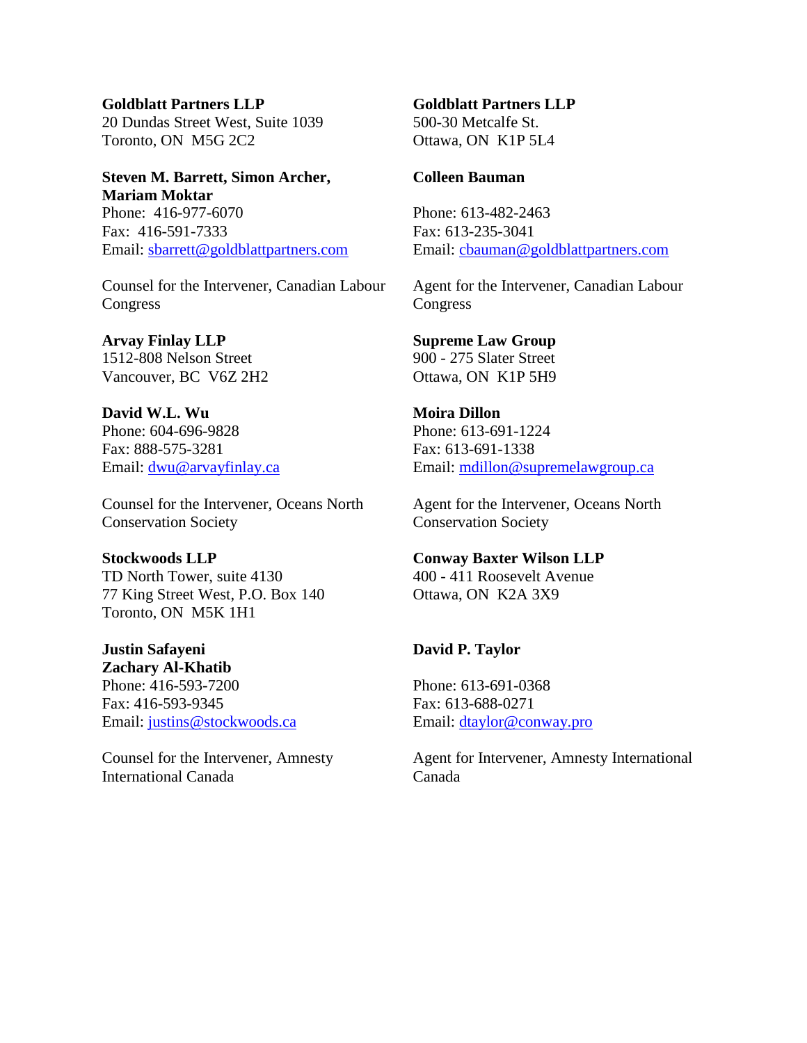**Goldblatt Partners LLP** 20 Dundas Street West, Suite 1039 Toronto, ON M5G 2C2

# **Steven M. Barrett, Simon Archer, Mariam Moktar** Phone: 416-977-6070 Fax: 416-591-7333 Email: [sbarrett@goldblattpartners.com](mailto:sbarrett@goldblattpartners.com)

Counsel for the Intervener, Canadian Labour Congress

**Arvay Finlay LLP** 1512-808 Nelson Street Vancouver, BC V6Z 2H2

**David W.L. Wu** Phone: 604-696-9828 Fax: 888-575-3281 Email: [dwu@arvayfinlay.ca](mailto:dwu@arvayfinlay.ca)

Counsel for the Intervener, Oceans North Conservation Society

#### **Stockwoods LLP**

TD North Tower, suite 4130 77 King Street West, P.O. Box 140 Toronto, ON M5K 1H1

**Justin Safayeni Zachary Al-Khatib** Phone: 416-593-7200 Fax: 416-593-9345 Email: [justins@stockwoods.ca](mailto:justins@stockwoods.ca)

Counsel for the Intervener, Amnesty International Canada

#### **Goldblatt Partners LLP** 500-30 Metcalfe St.

Ottawa, ON K1P 5L4

## **Colleen Bauman**

Phone: 613-482-2463 Fax: 613-235-3041 Email: [cbauman@goldblattpartners.com](mailto:cbauman@goldblattpartners.com)

Agent for the Intervener, Canadian Labour Congress

**Supreme Law Group** 900 - 275 Slater Street Ottawa, ON K1P 5H9

**Moira Dillon** Phone: 613-691-1224 Fax: 613-691-1338 Email: [mdillon@supremelawgroup.ca](mailto:mdillon@supremelawgroup.ca)

Agent for the Intervener, Oceans North Conservation Society

#### **Conway Baxter Wilson LLP**

400 - 411 Roosevelt Avenue Ottawa, ON K2A 3X9

# **David P. Taylor**

Phone: 613-691-0368 Fax: 613-688-0271 Email: [dtaylor@conway.pro](mailto:dtaylor@conway.pro)

Agent for Intervener, Amnesty International Canada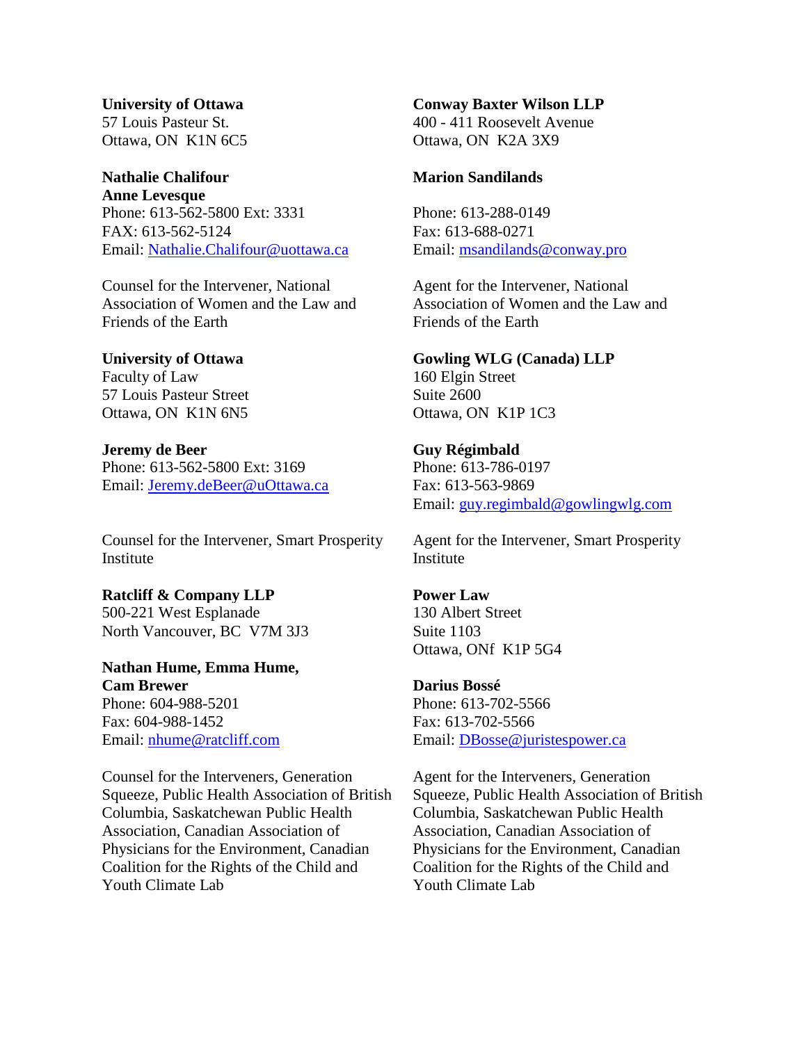# **University of Ottawa** 57 Louis Pasteur St. Ottawa, ON K1N 6C5

# **Nathalie Chalifour**

**Anne Levesque** Phone: 613-562-5800 Ext: 3331 FAX: 613-562-5124 Email: [Nathalie.Chalifour@uottawa.ca](mailto:Nathalie.Chalifour@uottawa.ca)

Counsel for the Intervener, National Association of Women and the Law and Friends of the Earth

# **University of Ottawa**

Faculty of Law 57 Louis Pasteur Street Ottawa, ON K1N 6N5

**Jeremy de Beer** Phone: 613-562-5800 Ext: 3169 Email: [Jeremy.deBeer@uOttawa.ca](mailto:Jeremy.deBeer@uOttawa.ca)

Counsel for the Intervener, Smart Prosperity Institute

### **Ratcliff & Company LLP** 500-221 West Esplanade

North Vancouver, BC V7M 3J3

# **Nathan Hume, Emma Hume, Cam Brewer**

Phone: 604-988-5201 Fax: 604-988-1452 Email: [nhume@ratcliff.com](mailto:nhume@ratcliff.com)

Counsel for the Interveners, Generation Squeeze, Public Health Association of British Columbia, Saskatchewan Public Health Association, Canadian Association of Physicians for the Environment, Canadian Coalition for the Rights of the Child and Youth Climate Lab

# **Conway Baxter Wilson LLP**

400 - 411 Roosevelt Avenue Ottawa, ON K2A 3X9

# **Marion Sandilands**

Phone: 613-288-0149 Fax: 613-688-0271 Email: [msandilands@conway.pro](mailto:msandilands@conway.pro)

Agent for the Intervener, National Association of Women and the Law and Friends of the Earth

# **Gowling WLG (Canada) LLP**

160 Elgin Street Suite 2600 Ottawa, ON K1P 1C3

# **Guy Régimbald**

Phone: 613-786-0197 Fax: 613-563-9869 Email: [guy.regimbald@gowlingwlg.com](mailto:guy.regimbald@gowlingwlg.com)

Agent for the Intervener, Smart Prosperity Institute

# **Power Law**

130 Albert Street Suite 1103 Ottawa, ONf K1P 5G4

# **Darius Bossé**

Phone: 613-702-5566 Fax: 613-702-5566 Email: [DBosse@juristespower.ca](mailto:DBosse@juristespower.ca)

Agent for the Interveners, Generation Squeeze, Public Health Association of British Columbia, Saskatchewan Public Health Association, Canadian Association of Physicians for the Environment, Canadian Coalition for the Rights of the Child and Youth Climate Lab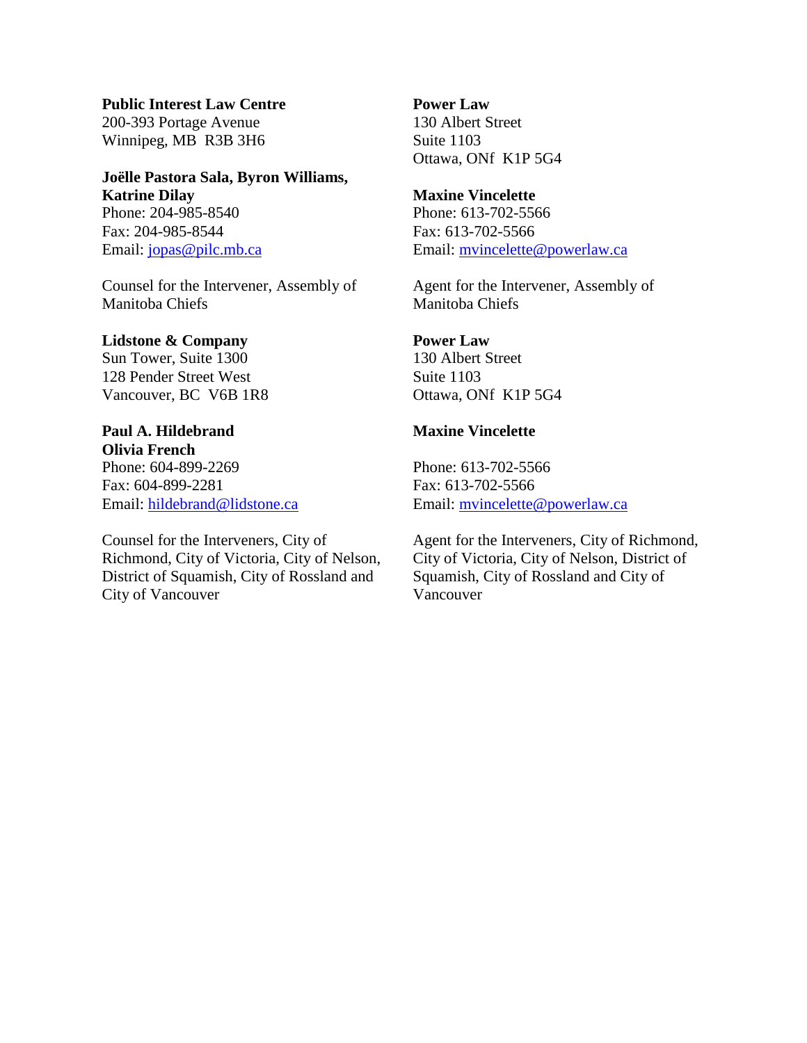**Public Interest Law Centre** 200-393 Portage Avenue Winnipeg, MB R3B 3H6

# **Joëlle Pastora Sala, Byron Williams, Katrine Dilay** Phone: 204-985-8540 Fax: 204-985-8544 Email: [jopas@pilc.mb.ca](mailto:jopas@pilc.mb.ca)

Counsel for the Intervener, Assembly of Manitoba Chiefs

### **Lidstone & Company**

Sun Tower, Suite 1300 128 Pender Street West Vancouver, BC V6B 1R8

# **Paul A. Hildebrand**

**Olivia French** Phone: 604-899-2269 Fax: 604-899-2281 Email: [hildebrand@lidstone.ca](mailto:hildebrand@lidstone.ca)

Counsel for the Interveners, City of Richmond, City of Victoria, City of Nelson, District of Squamish, City of Rossland and City of Vancouver

**Power Law** 130 Albert Street Suite 1103 Ottawa, ONf K1P 5G4

# **Maxine Vincelette**

Phone: 613-702-5566 Fax: 613-702-5566 Email: [mvincelette@powerlaw.ca](mailto:mvincelette@powerlaw.ca)

Agent for the Intervener, Assembly of Manitoba Chiefs

# **Power Law**

130 Albert Street Suite 1103 Ottawa, ONf K1P 5G4

### **Maxine Vincelette**

Phone: 613-702-5566 Fax: 613-702-5566 Email: [mvincelette@powerlaw.ca](mailto:mvincelette@powerlaw.ca)

Agent for the Interveners, City of Richmond, City of Victoria, City of Nelson, District of Squamish, City of Rossland and City of Vancouver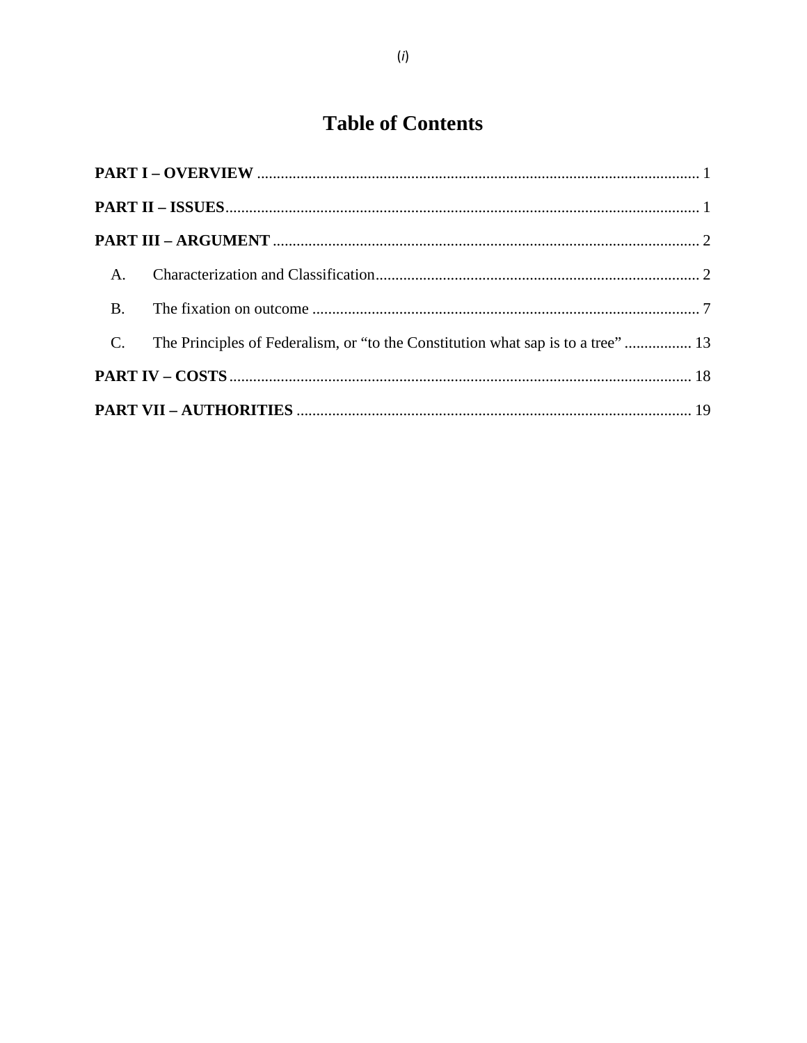# **Table of Contents**

| $A_{\cdot}$    |                                                                                  |  |  |  |
|----------------|----------------------------------------------------------------------------------|--|--|--|
| B <sub>1</sub> |                                                                                  |  |  |  |
| $C_{\cdot}$    | The Principles of Federalism, or "to the Constitution what sap is to a tree"  13 |  |  |  |
|                |                                                                                  |  |  |  |
|                |                                                                                  |  |  |  |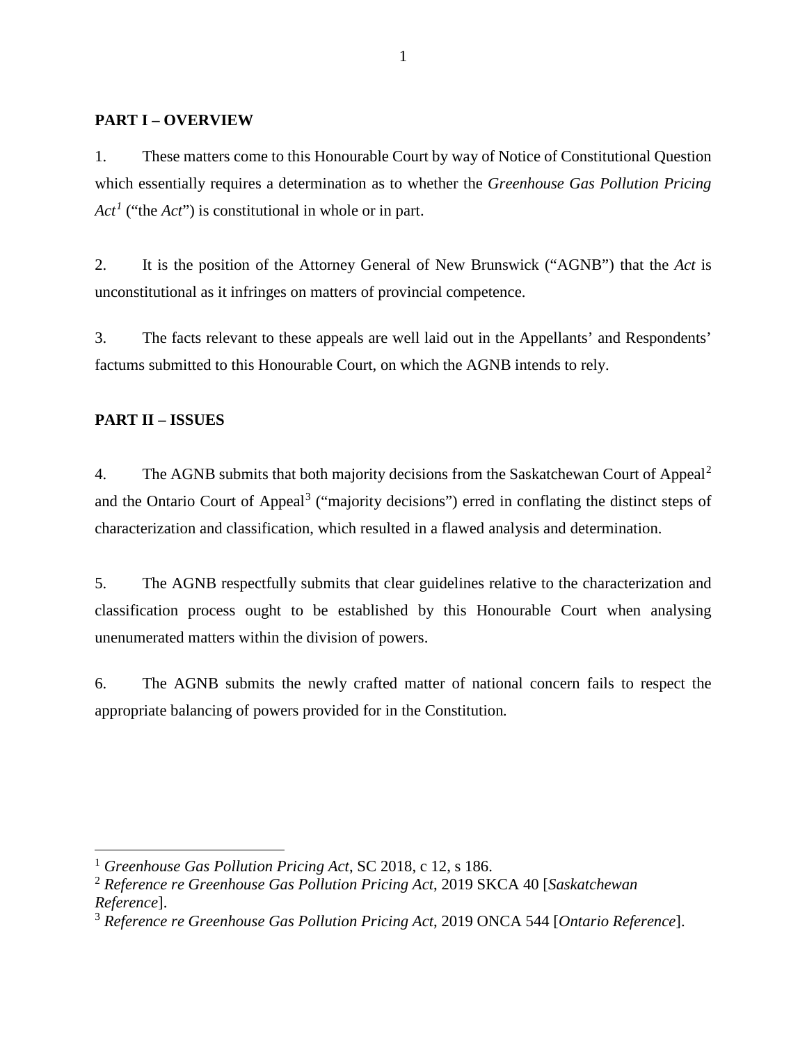# <span id="page-14-0"></span>**PART I – OVERVIEW**

1. These matters come to this Honourable Court by way of Notice of Constitutional Question which essentially requires a determination as to whether the *Greenhouse Gas Pollution Pricing*   $Act<sup>1</sup>$  $Act<sup>1</sup>$  $Act<sup>1</sup>$  ("the *Act*") is constitutional in whole or in part.

2. It is the position of the Attorney General of New Brunswick ("AGNB") that the *Act* is unconstitutional as it infringes on matters of provincial competence.

3. The facts relevant to these appeals are well laid out in the Appellants' and Respondents' factums submitted to this Honourable Court, on which the AGNB intends to rely.

# <span id="page-14-1"></span>**PART II – ISSUES**

4. The AGNB submits that both majority decisions from the Saskatchewan Court of Appeal<sup>[2](#page-14-3)</sup> and the Ontario Court of Appeal<sup>[3](#page-14-4)</sup> ("majority decisions") erred in conflating the distinct steps of characterization and classification, which resulted in a flawed analysis and determination.

5. The AGNB respectfully submits that clear guidelines relative to the characterization and classification process ought to be established by this Honourable Court when analysing unenumerated matters within the division of powers.

6. The AGNB submits the newly crafted matter of national concern fails to respect the appropriate balancing of powers provided for in the Constitution*.*

<span id="page-14-2"></span> <sup>1</sup> *Greenhouse Gas Pollution Pricing Act*, SC 2018, c 12, s 186.

<span id="page-14-3"></span><sup>2</sup> *Reference re Greenhouse Gas Pollution Pricing Act*, 2019 SKCA 40 [*Saskatchewan Reference*].

<span id="page-14-4"></span><sup>3</sup> *Reference re Greenhouse Gas Pollution Pricing Act*, 2019 ONCA 544 [*Ontario Reference*].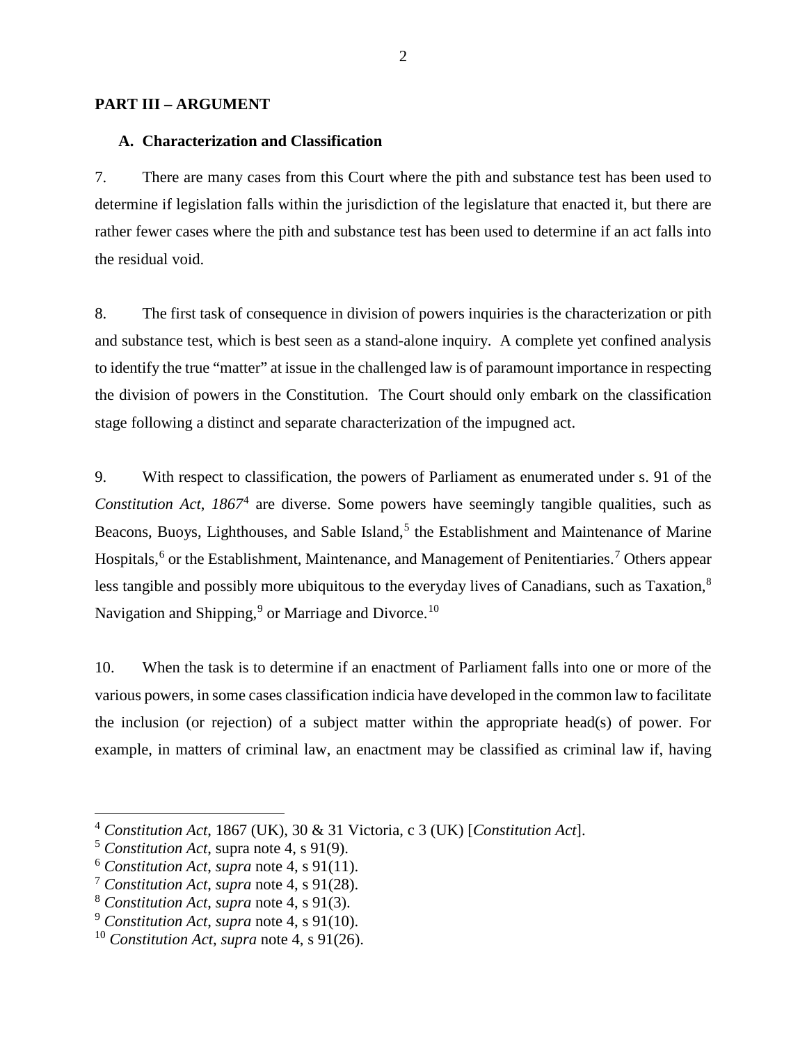#### <span id="page-15-1"></span><span id="page-15-0"></span>**PART III – ARGUMENT**

#### **A. Characterization and Classification**

7. There are many cases from this Court where the pith and substance test has been used to determine if legislation falls within the jurisdiction of the legislature that enacted it, but there are rather fewer cases where the pith and substance test has been used to determine if an act falls into the residual void.

8. The first task of consequence in division of powers inquiries is the characterization or pith and substance test, which is best seen as a stand-alone inquiry. A complete yet confined analysis to identify the true "matter" at issue in the challenged law is of paramount importance in respecting the division of powers in the Constitution. The Court should only embark on the classification stage following a distinct and separate characterization of the impugned act.

9. With respect to classification, the powers of Parliament as enumerated under s. 91 of the *Constitution Act*, *1867*[4](#page-15-2) are diverse. Some powers have seemingly tangible qualities, such as Beacons, Buoys, Lighthouses, and Sable Island,<sup>[5](#page-15-3)</sup> the Establishment and Maintenance of Marine Hospitals,<sup>[6](#page-15-4)</sup> or the Establishment, Maintenance, and Management of Penitentiaries.<sup>[7](#page-15-5)</sup> Others appear less tangible and possibly more ubiquitous to the everyday lives of Canadians, such as Taxation,<sup>[8](#page-15-6)</sup> Navigation and Shipping, $9$  or Marriage and Divorce.<sup>[10](#page-15-8)</sup>

10. When the task is to determine if an enactment of Parliament falls into one or more of the various powers, in some cases classification indicia have developed in the common law to facilitate the inclusion (or rejection) of a subject matter within the appropriate head(s) of power. For example, in matters of criminal law, an enactment may be classified as criminal law if, having

<span id="page-15-2"></span> <sup>4</sup> *Constitution Act*, 1867 (UK), 30 & 31 Victoria, c 3 (UK) [*Constitution Act*].

<span id="page-15-3"></span><sup>5</sup> *Constitution Act*, supra note 4, s 91(9).

<span id="page-15-4"></span><sup>6</sup> *Constitution Act*, *supra* note 4, s 91(11).

<span id="page-15-5"></span><sup>7</sup> *Constitution Act*, *supra* note 4, s 91(28).

<span id="page-15-6"></span><sup>8</sup> *Constitution Act*, *supra* note 4, s 91(3).

<span id="page-15-7"></span><sup>9</sup> *Constitution Act*, *supra* note 4, s 91(10).

<span id="page-15-8"></span><sup>10</sup> *Constitution Act*, *supra* note 4, s 91(26).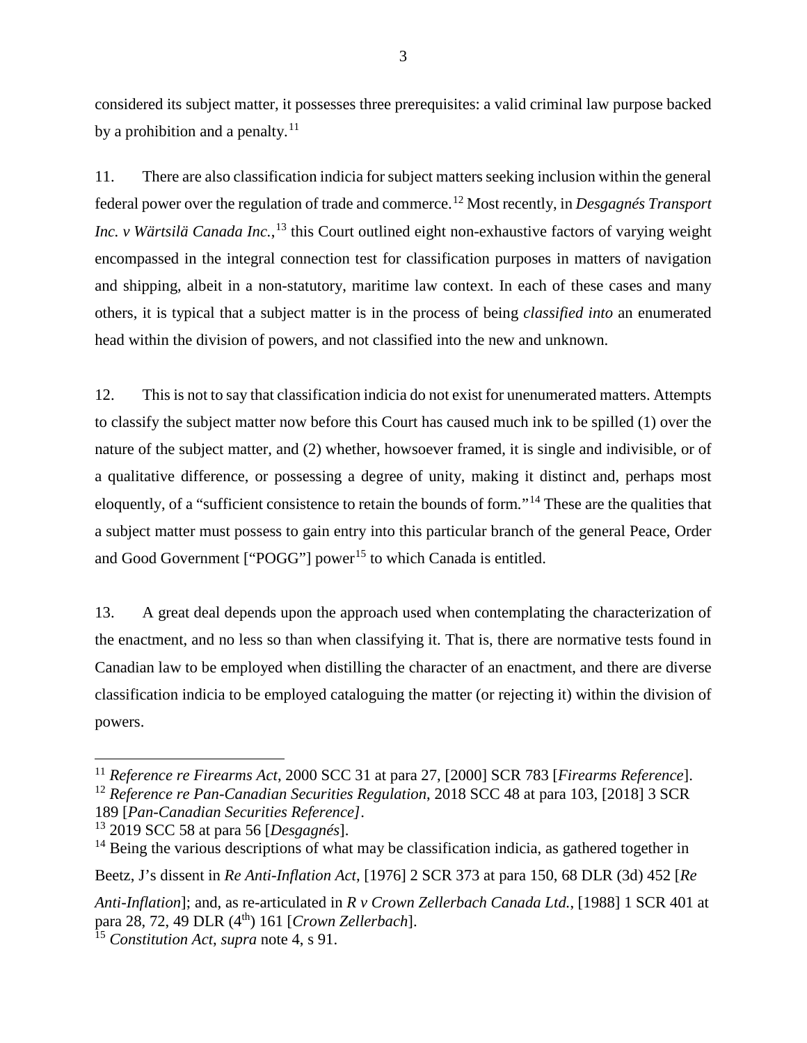considered its subject matter, it possesses three prerequisites: a valid criminal law purpose backed by a prohibition and a penalty. $^{11}$  $^{11}$  $^{11}$ 

11. There are also classification indicia for subject matters seeking inclusion within the general federal power over the regulation of trade and commerce.[12](#page-16-1) Most recently, in *Desgagnés Transport Inc. v Wärtsilä Canada Inc.*, [13](#page-16-2) this Court outlined eight non-exhaustive factors of varying weight encompassed in the integral connection test for classification purposes in matters of navigation and shipping, albeit in a non-statutory, maritime law context. In each of these cases and many others, it is typical that a subject matter is in the process of being *classified into* an enumerated head within the division of powers, and not classified into the new and unknown.

12. This is not to say that classification indicia do not exist for unenumerated matters. Attempts to classify the subject matter now before this Court has caused much ink to be spilled (1) over the nature of the subject matter, and (2) whether, howsoever framed, it is single and indivisible, or of a qualitative difference, or possessing a degree of unity, making it distinct and, perhaps most eloquently, of a "sufficient consistence to retain the bounds of form*.*"[14](#page-16-3) These are the qualities that a subject matter must possess to gain entry into this particular branch of the general Peace, Order and Good Government [" $POGG"$ ] power<sup>[15](#page-16-4)</sup> to which Canada is entitled.

13. A great deal depends upon the approach used when contemplating the characterization of the enactment, and no less so than when classifying it. That is, there are normative tests found in Canadian law to be employed when distilling the character of an enactment, and there are diverse classification indicia to be employed cataloguing the matter (or rejecting it) within the division of powers.

Beetz, J's dissent in *Re Anti-Inflation Act*, [1976] 2 SCR 373 at para 150, 68 DLR (3d) 452 [*Re* 

*Anti-Inflation*]; and, as re-articulated in *R v Crown Zellerbach Canada Ltd.*, [1988] 1 SCR 401 at para 28, 72, 49 DLR (4th) 161 [*Crown Zellerbach*].

<span id="page-16-1"></span><span id="page-16-0"></span> <sup>11</sup> *Reference re Firearms Act*, 2000 SCC 31 at para 27, [2000] SCR 783 [*Firearms Reference*]. <sup>12</sup> *Reference re Pan-Canadian Securities Regulation*, 2018 SCC 48 at para 103, [2018] 3 SCR 189 [*Pan-Canadian Securities Reference]*.

<span id="page-16-2"></span><sup>13</sup> 2019 SCC 58 at para 56 [*Desgagnés*].

<span id="page-16-3"></span> $14$  Being the various descriptions of what may be classification indicia, as gathered together in

<span id="page-16-4"></span><sup>15</sup> *Constitution Act*, *supra* note 4, s 91.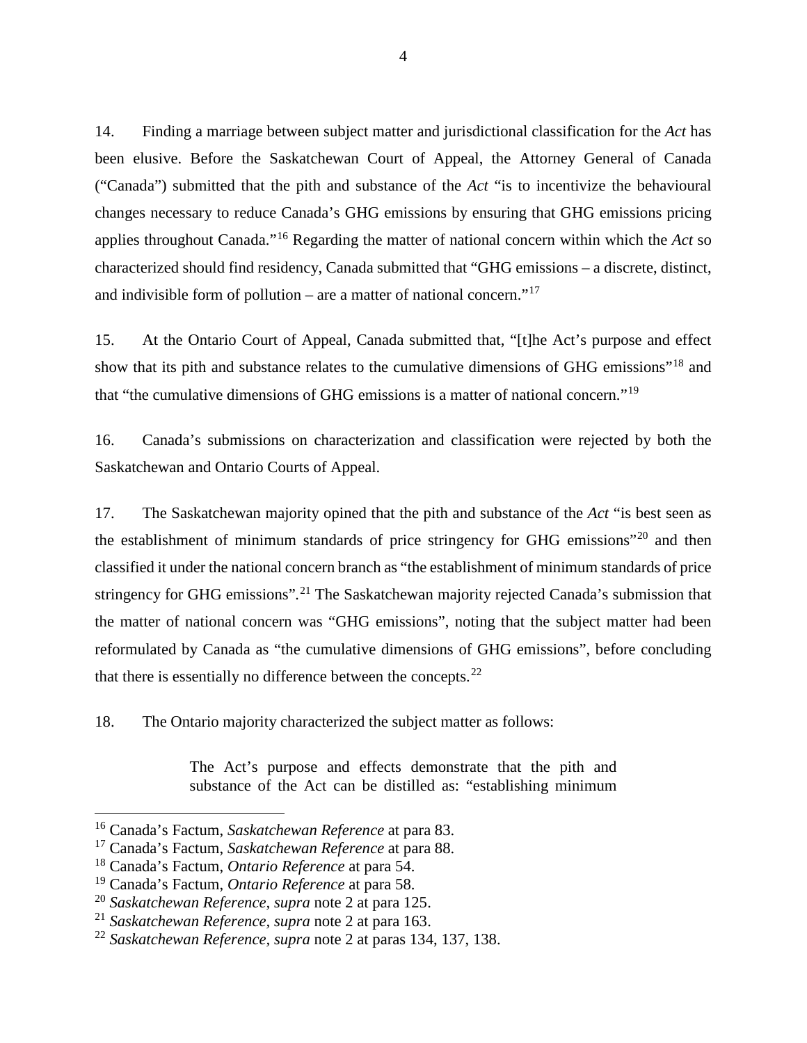14. Finding a marriage between subject matter and jurisdictional classification for the *Act* has been elusive. Before the Saskatchewan Court of Appeal, the Attorney General of Canada ("Canada") submitted that the pith and substance of the *Act* "is to incentivize the behavioural changes necessary to reduce Canada's GHG emissions by ensuring that GHG emissions pricing applies throughout Canada."[16](#page-17-0) Regarding the matter of national concern within which the *Act* so characterized should find residency, Canada submitted that "GHG emissions – a discrete, distinct, and indivisible form of pollution – are a matter of national concern." $17$ 

15. At the Ontario Court of Appeal, Canada submitted that, "[t]he Act's purpose and effect show that its pith and substance relates to the cumulative dimensions of GHG emissions"[18](#page-17-2) and that "the cumulative dimensions of GHG emissions is a matter of national concern."[19](#page-17-3)

16. Canada's submissions on characterization and classification were rejected by both the Saskatchewan and Ontario Courts of Appeal.

17. The Saskatchewan majority opined that the pith and substance of the *Act* "is best seen as the establishment of minimum standards of price stringency for GHG emissions"[20](#page-17-4) and then classified it under the national concern branch as "the establishment of minimum standards of price stringency for GHG emissions"*.* [21](#page-17-5) The Saskatchewan majority rejected Canada's submission that the matter of national concern was "GHG emissions", noting that the subject matter had been reformulated by Canada as "the cumulative dimensions of GHG emissions", before concluding that there is essentially no difference between the concepts. $^{22}$  $^{22}$  $^{22}$ 

18. The Ontario majority characterized the subject matter as follows:

The Act's purpose and effects demonstrate that the pith and substance of the Act can be distilled as: "establishing minimum

<span id="page-17-0"></span> <sup>16</sup> Canada's Factum, *Saskatchewan Reference* at para 83.

<span id="page-17-1"></span><sup>17</sup> Canada's Factum, *Saskatchewan Reference* at para 88.

<span id="page-17-2"></span><sup>18</sup> Canada's Factum, *Ontario Reference* at para 54.

<span id="page-17-3"></span><sup>19</sup> Canada's Factum, *Ontario Reference* at para 58.

<span id="page-17-4"></span><sup>20</sup> *Saskatchewan Reference, supra* note 2 at para 125.

<span id="page-17-5"></span><sup>21</sup> *Saskatchewan Reference, supra* note 2 at para 163.

<span id="page-17-6"></span><sup>22</sup> *Saskatchewan Reference, supra* note 2 at paras 134, 137, 138.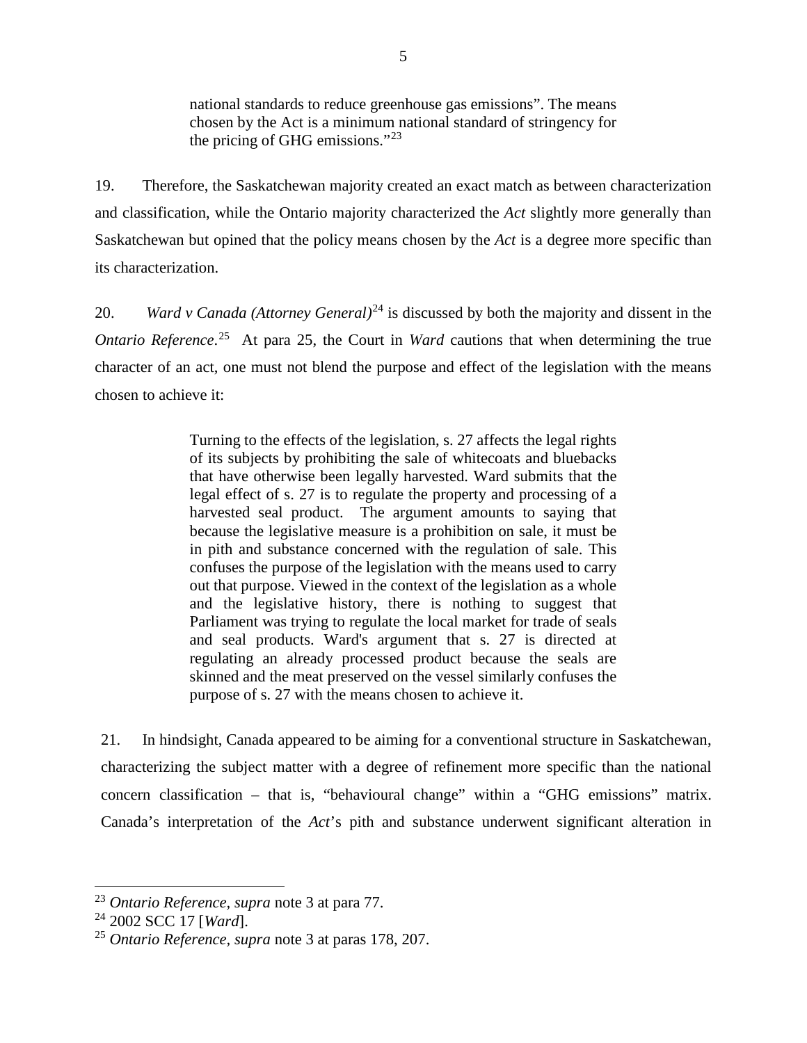national standards to reduce greenhouse gas emissions". The means chosen by the Act is a minimum national standard of stringency for the pricing of GHG emissions."[23](#page-18-0)

19. Therefore, the Saskatchewan majority created an exact match as between characterization and classification, while the Ontario majority characterized the *Act* slightly more generally than Saskatchewan but opined that the policy means chosen by the *Act* is a degree more specific than its characterization.

20. *Ward v Canada (Attorney General)*[24](#page-18-1) is discussed by both the majority and dissent in the *Ontario Reference*.<sup>[25](#page-18-2)</sup> At para 25, the Court in *Ward* cautions that when determining the true character of an act, one must not blend the purpose and effect of the legislation with the means chosen to achieve it:

> Turning to the effects of the legislation, s. 27 affects the legal rights of its subjects by prohibiting the sale of whitecoats and bluebacks that have otherwise been legally harvested. Ward submits that the legal effect of s. 27 is to regulate the property and processing of a harvested seal product. The argument amounts to saying that because the legislative measure is a prohibition on sale, it must be in pith and substance concerned with the regulation of sale. This confuses the purpose of the legislation with the means used to carry out that purpose. Viewed in the context of the legislation as a whole and the legislative history, there is nothing to suggest that Parliament was trying to regulate the local market for trade of seals and seal products. Ward's argument that s. 27 is directed at regulating an already processed product because the seals are skinned and the meat preserved on the vessel similarly confuses the purpose of s. 27 with the means chosen to achieve it.

21. In hindsight, Canada appeared to be aiming for a conventional structure in Saskatchewan, characterizing the subject matter with a degree of refinement more specific than the national concern classification – that is, "behavioural change" within a "GHG emissions" matrix. Canada's interpretation of the *Act*'s pith and substance underwent significant alteration in

<span id="page-18-0"></span> <sup>23</sup> *Ontario Reference, supra* note 3 at para 77.

<span id="page-18-1"></span><sup>24</sup> 2002 SCC 17 [*Ward*].

<span id="page-18-2"></span><sup>25</sup> *Ontario Reference, supra* note 3 at paras 178, 207.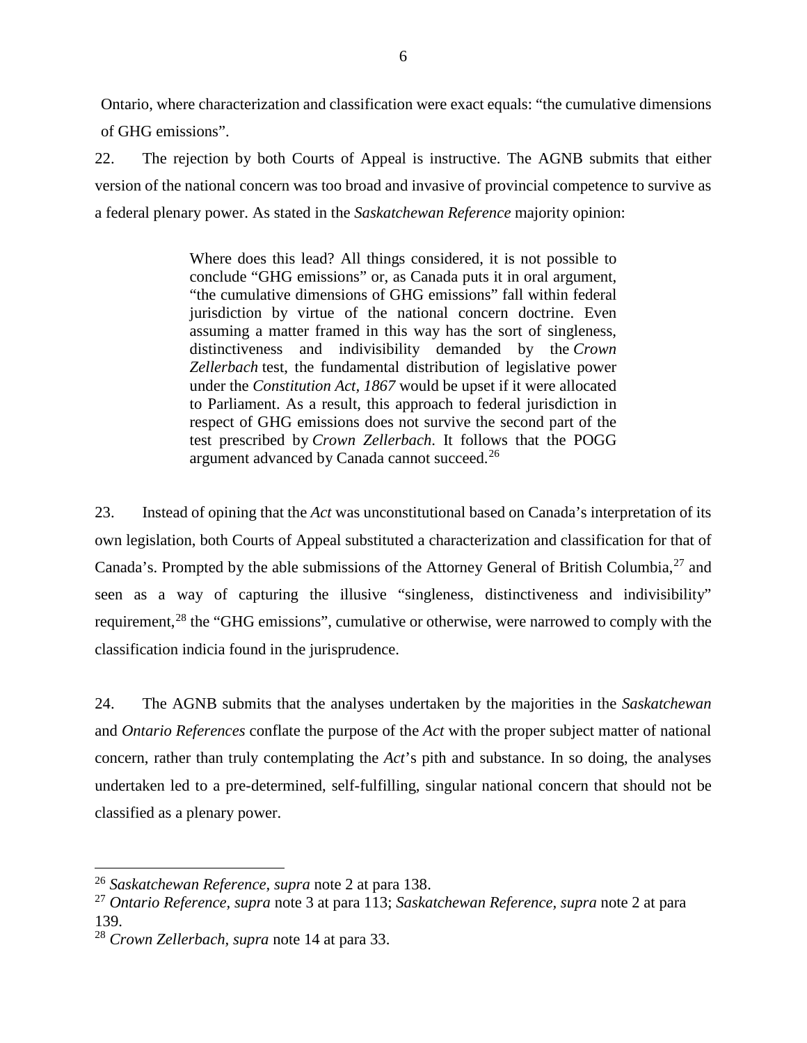Ontario, where characterization and classification were exact equals: "the cumulative dimensions of GHG emissions".

22. The rejection by both Courts of Appeal is instructive. The AGNB submits that either version of the national concern was too broad and invasive of provincial competence to survive as a federal plenary power. As stated in the *Saskatchewan Reference* majority opinion:

> Where does this lead? All things considered, it is not possible to conclude "GHG emissions" or, as Canada puts it in oral argument, "the cumulative dimensions of GHG emissions" fall within federal jurisdiction by virtue of the national concern doctrine. Even assuming a matter framed in this way has the sort of singleness, distinctiveness and indivisibility demanded by the *Crown Zellerbach* test, the fundamental distribution of legislative power under the *Constitution Act, 1867* would be upset if it were allocated to Parliament. As a result, this approach to federal jurisdiction in respect of GHG emissions does not survive the second part of the test prescribed by *Crown Zellerbach*. It follows that the POGG argument advanced by Canada cannot succeed.<sup>[26](#page-19-0)</sup>

23. Instead of opining that the *Act* was unconstitutional based on Canada's interpretation of its own legislation, both Courts of Appeal substituted a characterization and classification for that of Canada's. Prompted by the able submissions of the Attorney General of British Columbia,<sup>[27](#page-19-1)</sup> and seen as a way of capturing the illusive "singleness, distinctiveness and indivisibility" requirement,<sup>[28](#page-19-2)</sup> the "GHG emissions", cumulative or otherwise, were narrowed to comply with the classification indicia found in the jurisprudence.

24. The AGNB submits that the analyses undertaken by the majorities in the *Saskatchewan* and *Ontario References* conflate the purpose of the *Act* with the proper subject matter of national concern, rather than truly contemplating the *Act*'s pith and substance. In so doing, the analyses undertaken led to a pre-determined, self-fulfilling, singular national concern that should not be classified as a plenary power.

<span id="page-19-0"></span> <sup>26</sup> *Saskatchewan Reference, supra* note 2 at para 138.

<span id="page-19-1"></span><sup>27</sup> *Ontario Reference, supra* note 3 at para 113; *Saskatchewan Reference, supra* note 2 at para 139.

<span id="page-19-2"></span><sup>28</sup> *Crown Zellerbach, supra* note 14 at para 33.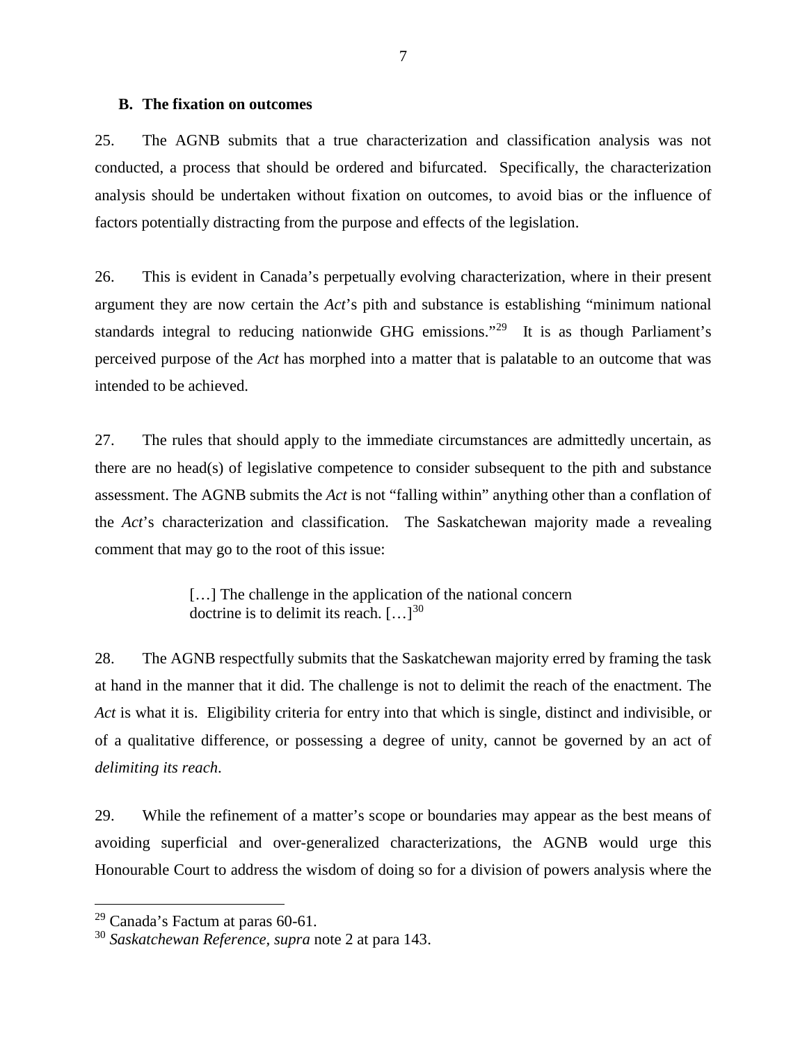#### <span id="page-20-0"></span>**B. The fixation on outcomes**

25. The AGNB submits that a true characterization and classification analysis was not conducted, a process that should be ordered and bifurcated. Specifically, the characterization analysis should be undertaken without fixation on outcomes, to avoid bias or the influence of factors potentially distracting from the purpose and effects of the legislation.

26. This is evident in Canada's perpetually evolving characterization, where in their present argument they are now certain the *Act*'s pith and substance is establishing "minimum national standards integral to reducing nationwide GHG emissions."[29](#page-20-1) It is as though Parliament's perceived purpose of the *Act* has morphed into a matter that is palatable to an outcome that was intended to be achieved.

27. The rules that should apply to the immediate circumstances are admittedly uncertain, as there are no head(s) of legislative competence to consider subsequent to the pith and substance assessment. The AGNB submits the *Act* is not "falling within" anything other than a conflation of the *Act*'s characterization and classification. The Saskatchewan majority made a revealing comment that may go to the root of this issue:

> [...] The challenge in the application of the national concern doctrine is to delimit its reach.  $[\dots]^{30}$  $[\dots]^{30}$  $[\dots]^{30}$

28. The AGNB respectfully submits that the Saskatchewan majority erred by framing the task at hand in the manner that it did. The challenge is not to delimit the reach of the enactment. The *Act* is what it is. Eligibility criteria for entry into that which is single, distinct and indivisible, or of a qualitative difference, or possessing a degree of unity, cannot be governed by an act of *delimiting its reach*.

29. While the refinement of a matter's scope or boundaries may appear as the best means of avoiding superficial and over-generalized characterizations, the AGNB would urge this Honourable Court to address the wisdom of doing so for a division of powers analysis where the

<span id="page-20-1"></span> $29$  Canada's Factum at paras 60-61.

<span id="page-20-2"></span><sup>30</sup> *Saskatchewan Reference, supra* note 2 at para 143.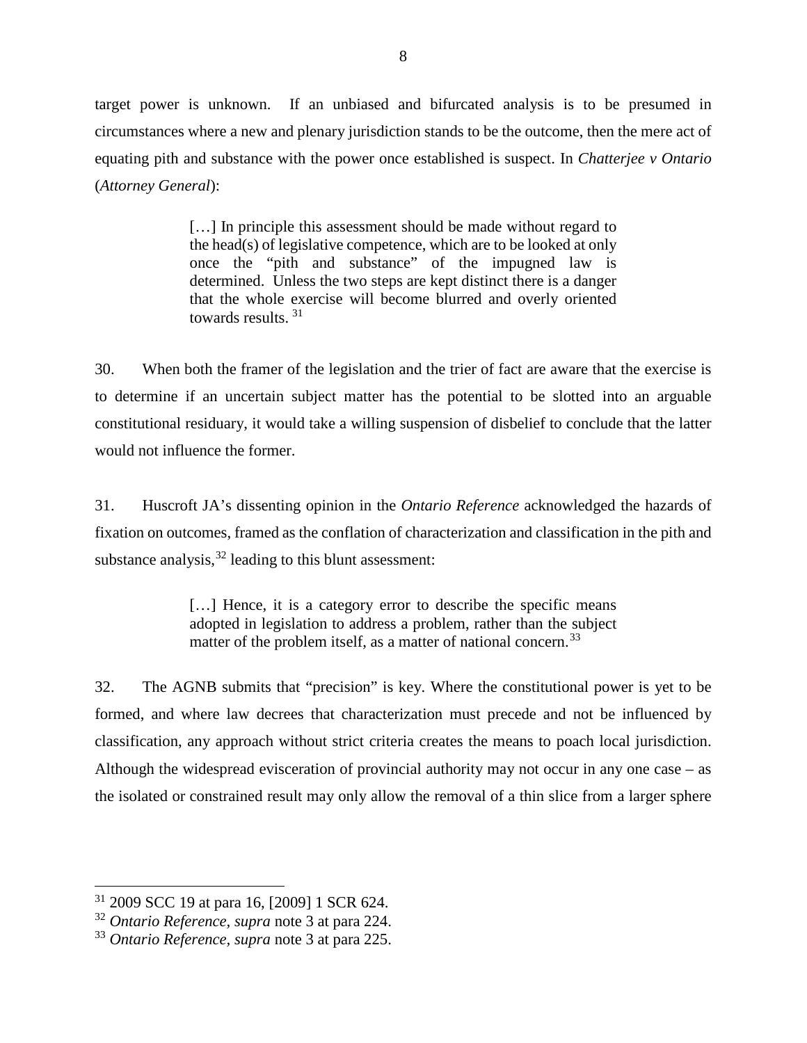target power is unknown. If an unbiased and bifurcated analysis is to be presumed in circumstances where a new and plenary jurisdiction stands to be the outcome, then the mere act of equating pith and substance with the power once established is suspect. In *Chatterjee v Ontario*  (*Attorney General*):

> [...] In principle this assessment should be made without regard to the head(s) of legislative competence, which are to be looked at only once the "pith and substance" of the impugned law is determined. Unless the two steps are kept distinct there is a danger that the whole exercise will become blurred and overly oriented towards results. [31](#page-21-0)

30. When both the framer of the legislation and the trier of fact are aware that the exercise is to determine if an uncertain subject matter has the potential to be slotted into an arguable constitutional residuary, it would take a willing suspension of disbelief to conclude that the latter would not influence the former.

31. Huscroft JA's dissenting opinion in the *Ontario Reference* acknowledged the hazards of fixation on outcomes, framed as the conflation of characterization and classification in the pith and substance analysis,  $32$  leading to this blunt assessment:

> [...] Hence, it is a category error to describe the specific means adopted in legislation to address a problem, rather than the subject matter of the problem itself, as a matter of national concern.<sup>[33](#page-21-2)</sup>

32. The AGNB submits that "precision" is key. Where the constitutional power is yet to be formed, and where law decrees that characterization must precede and not be influenced by classification, any approach without strict criteria creates the means to poach local jurisdiction. Although the widespread evisceration of provincial authority may not occur in any one case – as the isolated or constrained result may only allow the removal of a thin slice from a larger sphere

<span id="page-21-0"></span> <sup>31</sup> 2009 SCC 19 at para 16, [2009] 1 SCR 624.

<span id="page-21-1"></span><sup>32</sup> *Ontario Reference, supra* note 3 at para 224.

<span id="page-21-2"></span><sup>33</sup> *Ontario Reference, supra* note 3 at para 225.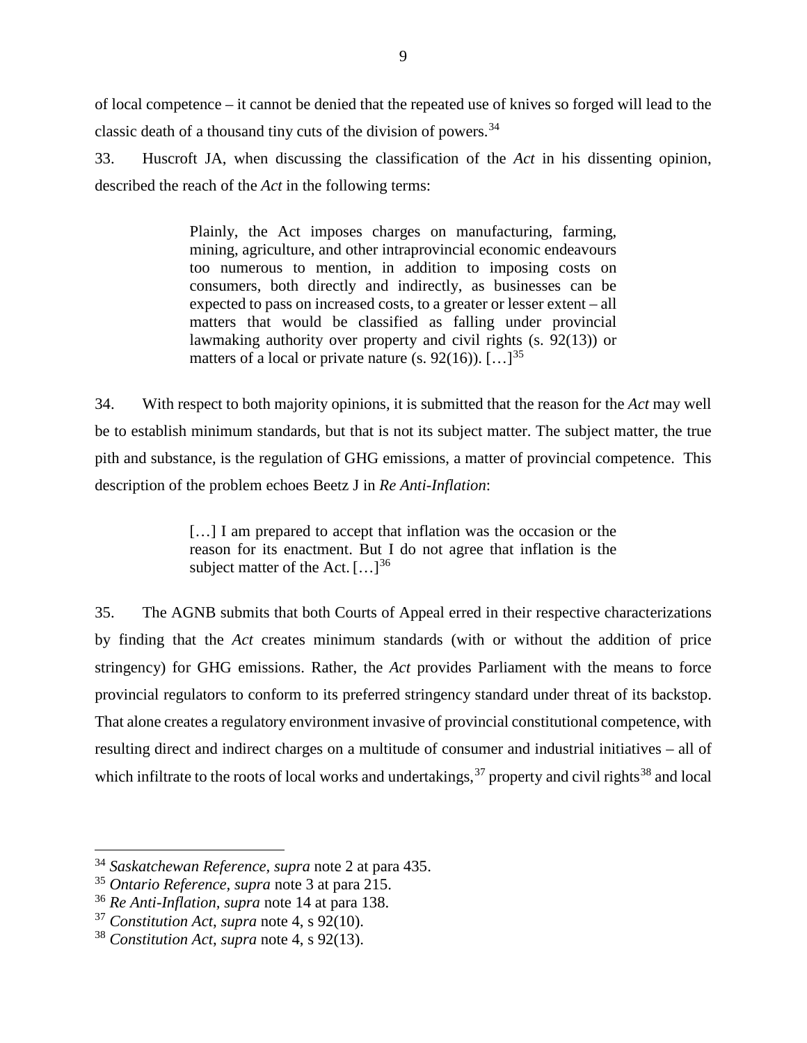of local competence – it cannot be denied that the repeated use of knives so forged will lead to the classic death of a thousand tiny cuts of the division of powers.<sup>[34](#page-22-0)</sup>

33. Huscroft JA, when discussing the classification of the *Act* in his dissenting opinion, described the reach of the *Act* in the following terms:

> Plainly, the Act imposes charges on manufacturing, farming, mining, agriculture, and other intraprovincial economic endeavours too numerous to mention, in addition to imposing costs on consumers, both directly and indirectly, as businesses can be expected to pass on increased costs, to a greater or lesser extent – all matters that would be classified as falling under provincial lawmaking authority over property and civil rights (s. 92(13)) or matters of a local or private nature (s. 92(16)).  $[\dots]^{35}$  $[\dots]^{35}$  $[\dots]^{35}$

34. With respect to both majority opinions, it is submitted that the reason for the *Act* may well be to establish minimum standards, but that is not its subject matter. The subject matter, the true pith and substance, is the regulation of GHG emissions, a matter of provincial competence. This description of the problem echoes Beetz J in *Re Anti-Inflation*:

> [...] I am prepared to accept that inflation was the occasion or the reason for its enactment. But I do not agree that inflation is the subject matter of the Act.  $[\dots]^{36}$  $[\dots]^{36}$  $[\dots]^{36}$

35. The AGNB submits that both Courts of Appeal erred in their respective characterizations by finding that the *Act* creates minimum standards (with or without the addition of price stringency) for GHG emissions. Rather, the *Act* provides Parliament with the means to force provincial regulators to conform to its preferred stringency standard under threat of its backstop. That alone creates a regulatory environment invasive of provincial constitutional competence, with resulting direct and indirect charges on a multitude of consumer and industrial initiatives – all of which infiltrate to the roots of local works and undertakings,  $37$  property and civil rights  $38$  and local

<span id="page-22-0"></span> <sup>34</sup> *Saskatchewan Reference, supra* note 2 at para 435.

<span id="page-22-1"></span><sup>35</sup> *Ontario Reference, supra* note 3 at para 215.

<span id="page-22-2"></span><sup>36</sup> *Re Anti-Inflation, supra* note 14 at para 138.

<span id="page-22-3"></span><sup>37</sup> *Constitution Act*, *supra* note 4, s 92(10).

<span id="page-22-4"></span><sup>38</sup> *Constitution Act*, *supra* note 4, s 92(13).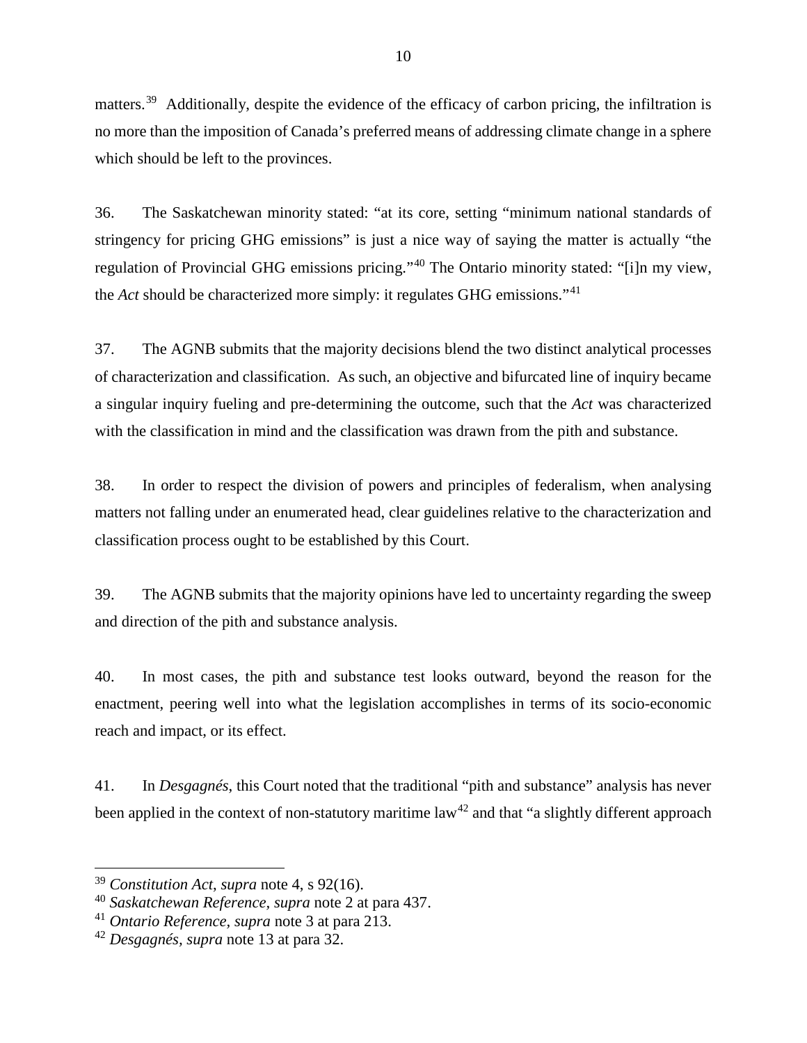matters.<sup>[39](#page-23-0)</sup> Additionally, despite the evidence of the efficacy of carbon pricing, the infiltration is no more than the imposition of Canada's preferred means of addressing climate change in a sphere which should be left to the provinces.

36. The Saskatchewan minority stated: "at its core, setting "minimum national standards of stringency for pricing GHG emissions" is just a nice way of saying the matter is actually "the regulation of Provincial GHG emissions pricing."[40](#page-23-1) The Ontario minority stated: "[i]n my view, the *Act* should be characterized more simply: it regulates GHG emissions."[41](#page-23-2)

37. The AGNB submits that the majority decisions blend the two distinct analytical processes of characterization and classification. As such, an objective and bifurcated line of inquiry became a singular inquiry fueling and pre-determining the outcome, such that the *Act* was characterized with the classification in mind and the classification was drawn from the pith and substance.

38. In order to respect the division of powers and principles of federalism, when analysing matters not falling under an enumerated head, clear guidelines relative to the characterization and classification process ought to be established by this Court.

39. The AGNB submits that the majority opinions have led to uncertainty regarding the sweep and direction of the pith and substance analysis.

40. In most cases, the pith and substance test looks outward, beyond the reason for the enactment, peering well into what the legislation accomplishes in terms of its socio-economic reach and impact, or its effect.

41. In *Desgagnés*, this Court noted that the traditional "pith and substance" analysis has never been applied in the context of non-statutory maritime law<sup>[42](#page-23-3)</sup> and that "a slightly different approach"

<span id="page-23-0"></span> <sup>39</sup> *Constitution Act*, *supra* note 4, s 92(16).

<span id="page-23-1"></span><sup>40</sup> *Saskatchewan Reference, supra* note 2 at para 437.

<span id="page-23-2"></span><sup>41</sup> *Ontario Reference, supra* note 3 at para 213.

<span id="page-23-3"></span><sup>42</sup> *Desgagnés, supra* note 13 at para 32.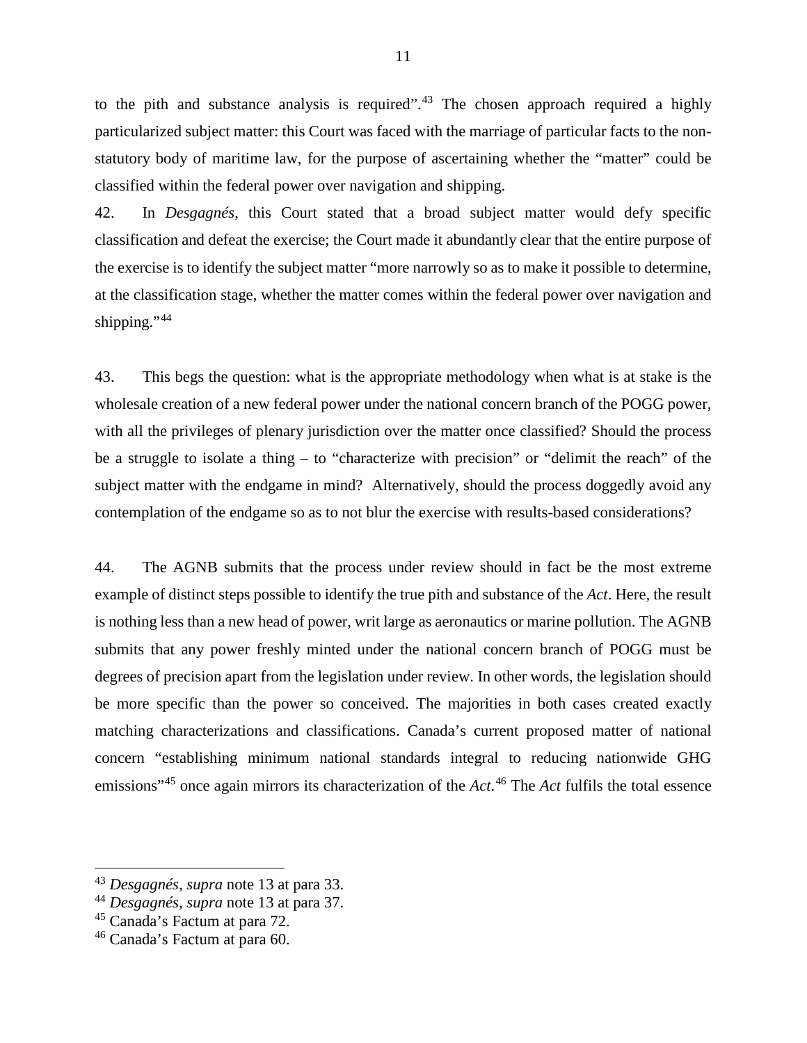to the pith and substance analysis is required".<sup>[43](#page-24-0)</sup> The chosen approach required a highly particularized subject matter: this Court was faced with the marriage of particular facts to the nonstatutory body of maritime law, for the purpose of ascertaining whether the "matter" could be classified within the federal power over navigation and shipping.

42. In *Desgagnés*, this Court stated that a broad subject matter would defy specific classification and defeat the exercise; the Court made it abundantly clear that the entire purpose of the exercise is to identify the subject matter "more narrowly so as to make it possible to determine, at the classification stage, whether the matter comes within the federal power over navigation and shipping."<sup>[44](#page-24-1)</sup>

43. This begs the question: what is the appropriate methodology when what is at stake is the wholesale creation of a new federal power under the national concern branch of the POGG power, with all the privileges of plenary jurisdiction over the matter once classified? Should the process be a struggle to isolate a thing – to "characterize with precision" or "delimit the reach" of the subject matter with the endgame in mind? Alternatively, should the process doggedly avoid any contemplation of the endgame so as to not blur the exercise with results-based considerations?

44. The AGNB submits that the process under review should in fact be the most extreme example of distinct steps possible to identify the true pith and substance of the *Act*. Here, the result is nothing less than a new head of power, writ large as aeronautics or marine pollution. The AGNB submits that any power freshly minted under the national concern branch of POGG must be degrees of precision apart from the legislation under review. In other words, the legislation should be more specific than the power so conceived. The majorities in both cases created exactly matching characterizations and classifications. Canada's current proposed matter of national concern "establishing minimum national standards integral to reducing nationwide GHG emissions"[45](#page-24-2) once again mirrors its characterization of the *Act*. [46](#page-24-3) The *Act* fulfils the total essence

<span id="page-24-0"></span> <sup>43</sup> *Desgagnés, supra* note 13 at para 33.

<span id="page-24-1"></span><sup>44</sup> *Desgagnés, supra* note 13 at para 37.

<span id="page-24-2"></span><sup>45</sup> Canada's Factum at para 72.

<span id="page-24-3"></span><sup>46</sup> Canada's Factum at para 60.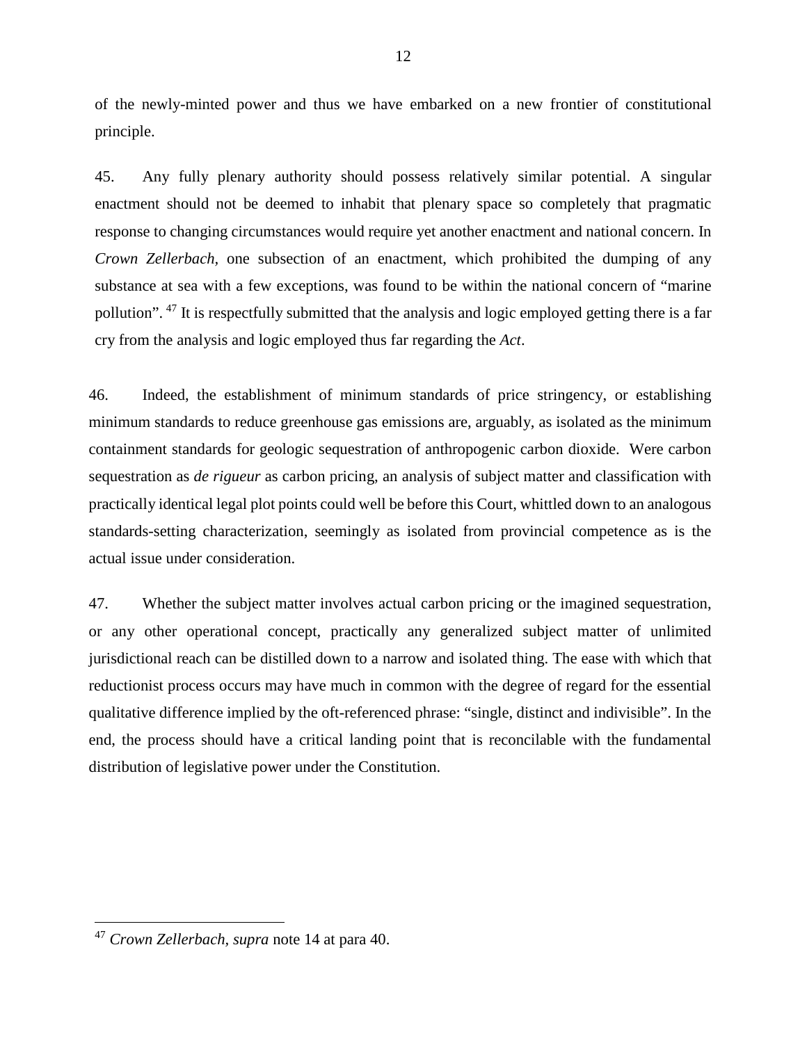of the newly-minted power and thus we have embarked on a new frontier of constitutional principle.

45. Any fully plenary authority should possess relatively similar potential. A singular enactment should not be deemed to inhabit that plenary space so completely that pragmatic response to changing circumstances would require yet another enactment and national concern. In *Crown Zellerbach,* one subsection of an enactment, which prohibited the dumping of any substance at sea with a few exceptions, was found to be within the national concern of "marine pollution". [47](#page-25-0) It is respectfully submitted that the analysis and logic employed getting there is a far cry from the analysis and logic employed thus far regarding the *Act*.

46. Indeed, the establishment of minimum standards of price stringency, or establishing minimum standards to reduce greenhouse gas emissions are, arguably, as isolated as the minimum containment standards for geologic sequestration of anthropogenic carbon dioxide. Were carbon sequestration as *de rigueur* as carbon pricing, an analysis of subject matter and classification with practically identical legal plot points could well be before this Court, whittled down to an analogous standards-setting characterization, seemingly as isolated from provincial competence as is the actual issue under consideration.

47. Whether the subject matter involves actual carbon pricing or the imagined sequestration, or any other operational concept, practically any generalized subject matter of unlimited jurisdictional reach can be distilled down to a narrow and isolated thing. The ease with which that reductionist process occurs may have much in common with the degree of regard for the essential qualitative difference implied by the oft-referenced phrase: "single, distinct and indivisible". In the end, the process should have a critical landing point that is reconcilable with the fundamental distribution of legislative power under the Constitution.

<span id="page-25-0"></span> <sup>47</sup> *Crown Zellerbach, supra* note 14 at para 40.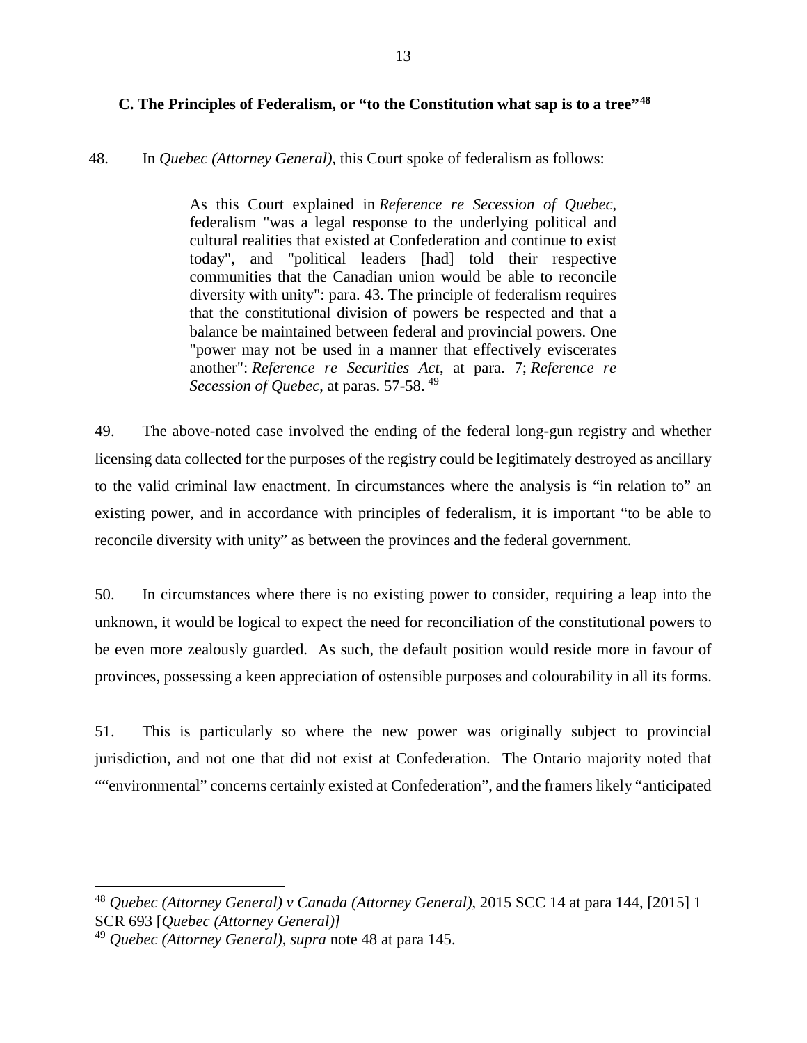# <span id="page-26-0"></span>48. In *Quebec (Attorney General)*, this Court spoke of federalism as follows:

As this Court explained in *Reference re Secession of Quebec*, federalism "was a legal response to the underlying political and cultural realities that existed at Confederation and continue to exist today", and "political leaders [had] told their respective communities that the Canadian union would be able to reconcile diversity with unity": para. 43. The principle of federalism requires that the constitutional division of powers be respected and that a balance be maintained between federal and provincial powers. One "power may not be used in a manner that effectively eviscerates another": *Reference re Securities Act*, at para. 7; *Reference re Secession of Quebec*, at paras. 57-58. [49](#page-26-2)

49. The above-noted case involved the ending of the federal long-gun registry and whether licensing data collected for the purposes of the registry could be legitimately destroyed as ancillary to the valid criminal law enactment. In circumstances where the analysis is "in relation to" an existing power, and in accordance with principles of federalism, it is important "to be able to reconcile diversity with unity" as between the provinces and the federal government.

50. In circumstances where there is no existing power to consider, requiring a leap into the unknown, it would be logical to expect the need for reconciliation of the constitutional powers to be even more zealously guarded. As such, the default position would reside more in favour of provinces, possessing a keen appreciation of ostensible purposes and colourability in all its forms.

51. This is particularly so where the new power was originally subject to provincial jurisdiction, and not one that did not exist at Confederation. The Ontario majority noted that ""environmental" concerns certainly existed at Confederation", and the framers likely "anticipated

<span id="page-26-1"></span> <sup>48</sup> *Quebec (Attorney General) v Canada (Attorney General)*, 2015 SCC 14 at para 144, [2015] 1 SCR 693 [*Quebec (Attorney General)]*

<span id="page-26-2"></span><sup>49</sup> *Quebec (Attorney General)*, *supra* note 48 at para 145.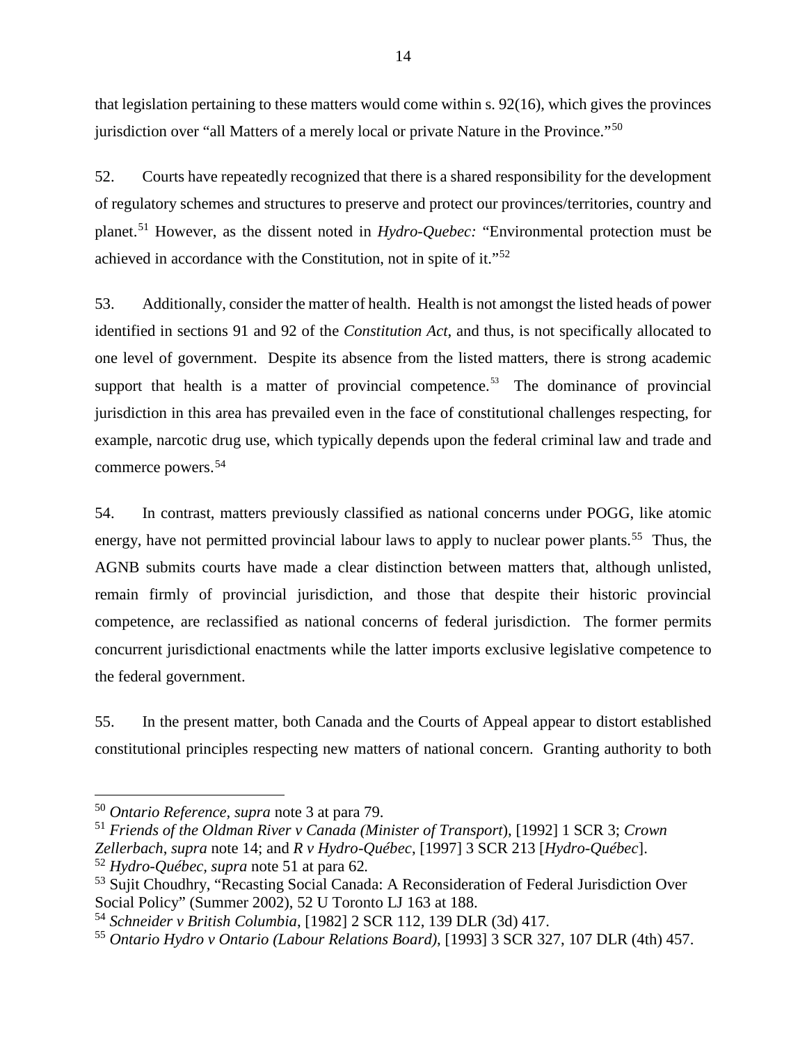that legislation pertaining to these matters would come within s. 92(16), which gives the provinces jurisdiction over "all Matters of a merely local or private Nature in the Province."<sup>50</sup>

52. Courts have repeatedly recognized that there is a shared responsibility for the development of regulatory schemes and structures to preserve and protect our provinces/territories, country and planet.[51](#page-27-1) However, as the dissent noted in *Hydro-Quebec:* "Environmental protection must be achieved in accordance with the Constitution, not in spite of it."[52](#page-27-2)

53. Additionally, consider the matter of health. Health is not amongst the listed heads of power identified in sections 91 and 92 of the *Constitution Act*, and thus, is not specifically allocated to one level of government. Despite its absence from the listed matters, there is strong academic support that health is a matter of provincial competence.<sup>[53](#page-27-3)</sup> The dominance of provincial jurisdiction in this area has prevailed even in the face of constitutional challenges respecting, for example, narcotic drug use, which typically depends upon the federal criminal law and trade and commerce powers. [54](#page-27-4)

54. In contrast, matters previously classified as national concerns under POGG, like atomic energy, have not permitted provincial labour laws to apply to nuclear power plants.<sup>55</sup> Thus, the AGNB submits courts have made a clear distinction between matters that, although unlisted, remain firmly of provincial jurisdiction, and those that despite their historic provincial competence, are reclassified as national concerns of federal jurisdiction. The former permits concurrent jurisdictional enactments while the latter imports exclusive legislative competence to the federal government.

55. In the present matter, both Canada and the Courts of Appeal appear to distort established constitutional principles respecting new matters of national concern. Granting authority to both

<span id="page-27-0"></span> <sup>50</sup> *Ontario Reference, supra* note 3 at para 79.

<span id="page-27-1"></span><sup>51</sup> *Friends of the [Oldman River](https://nextcanada.westlaw.com/Link/Document/FullText?findType=Y&pubNum=6407&serNum=1992376348&originationContext=document&transitionType=DocumentItem&contextData=(sc.Folder*cid.4564aeed64ad48139ed9d9f53e3a2a83*oc.UserEnteredCitation)) v Canada (Minister of Transport*), [1992] 1 SCR 3; *[Crown](https://nextcanada.westlaw.com/Link/Document/FullText?findType=Y&pubNum=6407&serNum=1988287914&originationContext=document&transitionType=DocumentItem&contextData=(sc.Folder*cid.4564aeed64ad48139ed9d9f53e3a2a83*oc.UserEnteredCitation))  [Zellerbach](https://nextcanada.westlaw.com/Link/Document/FullText?findType=Y&pubNum=6407&serNum=1988287914&originationContext=document&transitionType=DocumentItem&contextData=(sc.Folder*cid.4564aeed64ad48139ed9d9f53e3a2a83*oc.UserEnteredCitation))*, *supra* note 14; and *R v [Hydro-Québec](https://nextcanada.westlaw.com/Link/Document/FullText?findType=Y&pubNum=6407&serNum=1997425570&originationContext=document&transitionType=DocumentItem&contextData=(sc.Folder*cid.4564aeed64ad48139ed9d9f53e3a2a83*oc.UserEnteredCitation))*, [1997] 3 SCR 213 [*[Hydro-Québec](https://nextcanada.westlaw.com/Link/Document/FullText?findType=Y&pubNum=6407&serNum=1997425570&originationContext=document&transitionType=DocumentItem&contextData=(sc.Folder*cid.4564aeed64ad48139ed9d9f53e3a2a83*oc.UserEnteredCitation))*]. <sup>52</sup> *[Hydro-Québec,](https://nextcanada.westlaw.com/Link/Document/FullText?findType=Y&pubNum=6407&serNum=1997425570&originationContext=document&transitionType=DocumentItem&contextData=(sc.Folder*cid.4564aeed64ad48139ed9d9f53e3a2a83*oc.UserEnteredCitation)) supra* note 51 at para 62*.*

<span id="page-27-3"></span><span id="page-27-2"></span><sup>53</sup> Sujit Choudhry, "Recasting Social Canada: A Reconsideration of Federal Jurisdiction Over Social Policy" (Summer 2002), 52 U Toronto LJ 163 at 188.

<span id="page-27-4"></span><sup>54</sup> *Schneider v British Columbia*, [1982] 2 SCR 112, 139 DLR (3d) 417.

<span id="page-27-5"></span><sup>55</sup> *Ontario Hydro v Ontario (Labour Relations Board)*, [1993] 3 SCR 327, 107 DLR (4th) 457.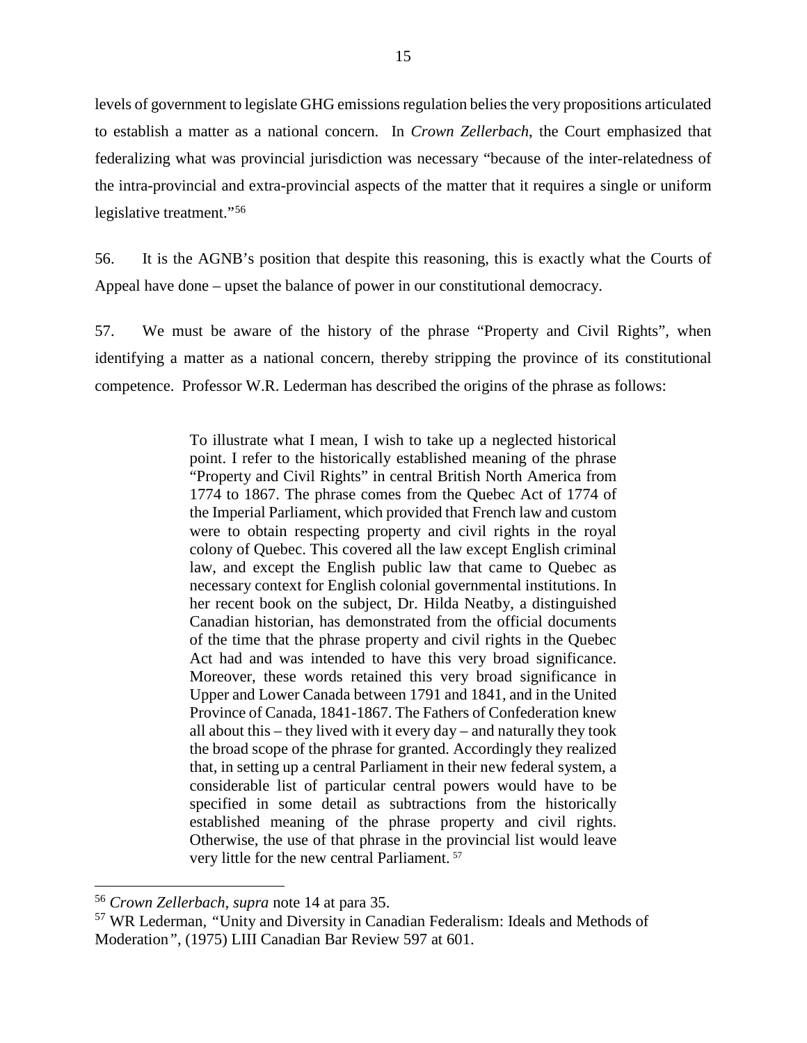levels of government to legislate GHG emissions regulation belies the very propositions articulated to establish a matter as a national concern. In *Crown Zellerbach*, the Court emphasized that federalizing what was provincial jurisdiction was necessary "because of the inter-relatedness of the intra-provincial and extra-provincial aspects of the matter that it requires a single or uniform legislative treatment."[56](#page-28-0)

56. It is the AGNB's position that despite this reasoning, this is exactly what the Courts of Appeal have done – upset the balance of power in our constitutional democracy.

57. We must be aware of the history of the phrase "Property and Civil Rights", when identifying a matter as a national concern, thereby stripping the province of its constitutional competence. Professor W.R. Lederman has described the origins of the phrase as follows:

> To illustrate what I mean, I wish to take up a neglected historical point. I refer to the historically established meaning of the phrase "Property and Civil Rights" in central British North America from 1774 to 1867. The phrase comes from the Quebec Act of 1774 of the Imperial Parliament, which provided that French law and custom were to obtain respecting property and civil rights in the royal colony of Quebec. This covered all the law except English criminal law, and except the English public law that came to Quebec as necessary context for English colonial governmental institutions. In her recent book on the subject, Dr. Hilda Neatby, a distinguished Canadian historian, has demonstrated from the official documents of the time that the phrase property and civil rights in the Quebec Act had and was intended to have this very broad significance. Moreover, these words retained this very broad significance in Upper and Lower Canada between 1791 and 1841, and in the United Province of Canada, 1841-1867. The Fathers of Confederation knew all about this – they lived with it every day – and naturally they took the broad scope of the phrase for granted. Accordingly they realized that, in setting up a central Parliament in their new federal system, a considerable list of particular central powers would have to be specified in some detail as subtractions from the historically established meaning of the phrase property and civil rights. Otherwise, the use of that phrase in the provincial list would leave very little for the new central Parliament. [57](#page-28-1)

<span id="page-28-0"></span> <sup>56</sup> *Crown Zellerbach, supra* note 14 at para 35.

<span id="page-28-1"></span><sup>57</sup> WR Lederman*, "*Unity and Diversity in Canadian Federalism: Ideals and Methods of Moderation*"*, (1975) LIII Canadian Bar Review 597 at 601.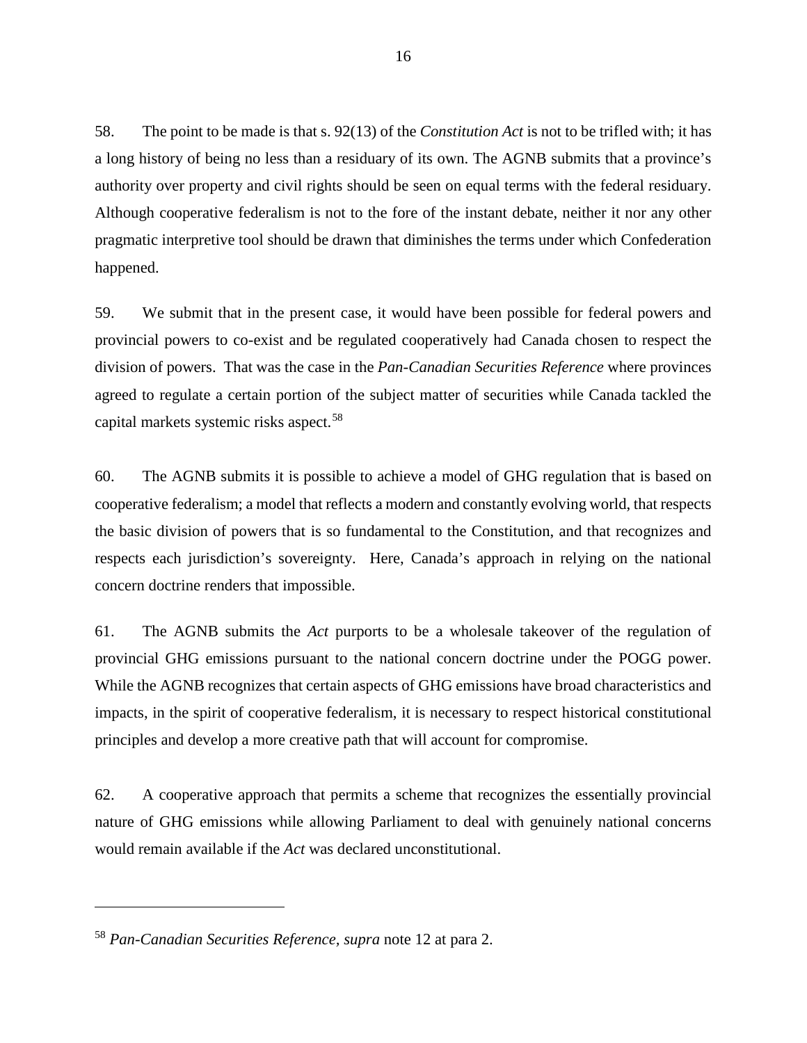58. The point to be made is that s. 92(13) of the *Constitution Act* is not to be trifled with; it has a long history of being no less than a residuary of its own. The AGNB submits that a province's authority over property and civil rights should be seen on equal terms with the federal residuary. Although cooperative federalism is not to the fore of the instant debate, neither it nor any other pragmatic interpretive tool should be drawn that diminishes the terms under which Confederation happened.

59. We submit that in the present case, it would have been possible for federal powers and provincial powers to co-exist and be regulated cooperatively had Canada chosen to respect the division of powers. That was the case in the *Pan-Canadian Securities Reference* where provinces agreed to regulate a certain portion of the subject matter of securities while Canada tackled the capital markets systemic risks aspect.<sup>[58](#page-29-0)</sup>

60. The AGNB submits it is possible to achieve a model of GHG regulation that is based on cooperative federalism; a model that reflects a modern and constantly evolving world, that respects the basic division of powers that is so fundamental to the Constitution, and that recognizes and respects each jurisdiction's sovereignty. Here, Canada's approach in relying on the national concern doctrine renders that impossible.

61. The AGNB submits the *Act* purports to be a wholesale takeover of the regulation of provincial GHG emissions pursuant to the national concern doctrine under the POGG power. While the AGNB recognizes that certain aspects of GHG emissions have broad characteristics and impacts, in the spirit of cooperative federalism, it is necessary to respect historical constitutional principles and develop a more creative path that will account for compromise.

62. A cooperative approach that permits a scheme that recognizes the essentially provincial nature of GHG emissions while allowing Parliament to deal with genuinely national concerns would remain available if the *Act* was declared unconstitutional.

 $\overline{a}$ 

<span id="page-29-0"></span><sup>58</sup> *Pan-Canadian Securities Reference, supra* note 12 at para 2.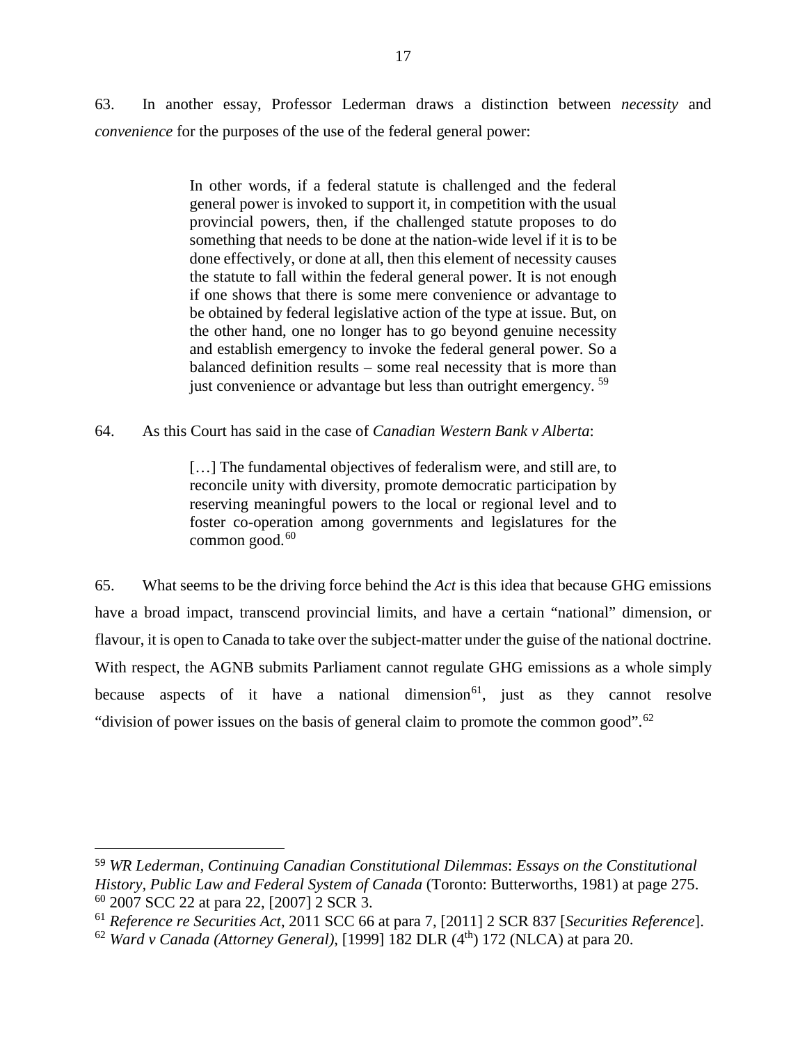63. In another essay, Professor Lederman draws a distinction between *necessity* and *convenience* for the purposes of the use of the federal general power:

> In other words, if a federal statute is challenged and the federal general power is invoked to support it, in competition with the usual provincial powers, then, if the challenged statute proposes to do something that needs to be done at the nation-wide level if it is to be done effectively, or done at all, then this element of necessity causes the statute to fall within the federal general power. It is not enough if one shows that there is some mere convenience or advantage to be obtained by federal legislative action of the type at issue. But, on the other hand, one no longer has to go beyond genuine necessity and establish emergency to invoke the federal general power. So a balanced definition results – some real necessity that is more than just convenience or advantage but less than outright emergency.<sup>[59](#page-30-0)</sup>

64. As this Court has said in the case of *Canadian Western Bank v Alberta*:

[...] The fundamental objectives of federalism were, and still are, to reconcile unity with diversity, promote democratic participation by reserving meaningful powers to the local or regional level and to foster co-operation among governments and legislatures for the common good. [60](#page-30-1) 

65. What seems to be the driving force behind the *Act* is this idea that because GHG emissions have a broad impact, transcend provincial limits, and have a certain "national" dimension, or flavour, it is open to Canada to take over the subject-matter under the guise of the national doctrine. With respect, the AGNB submits Parliament cannot regulate GHG emissions as a whole simply because aspects of it have a national dimension<sup>[61](#page-30-2)</sup>, just as they cannot resolve "division of power issues on the basis of general claim to promote the common good". $62$ 

 $\overline{a}$ 

<span id="page-30-0"></span><sup>59</sup> *WR Lederman, Continuing Canadian Constitutional Dilemmas*: *Essays on the Constitutional History, Public Law and Federal System of Canada* (Toronto: Butterworths, 1981) at page 275. <sup>60</sup> 2007 SCC 22 at para 22, [2007] 2 SCR 3.

<span id="page-30-2"></span><span id="page-30-1"></span><sup>61</sup> *Reference re Securities Act*, 2011 SCC 66 at para 7, [2011] 2 SCR 837 [*Securities Reference*].

<span id="page-30-3"></span><sup>62</sup> *Ward v Canada (Attorney General)*, [1999] 182 DLR (4th) 172 (NLCA) at para 20.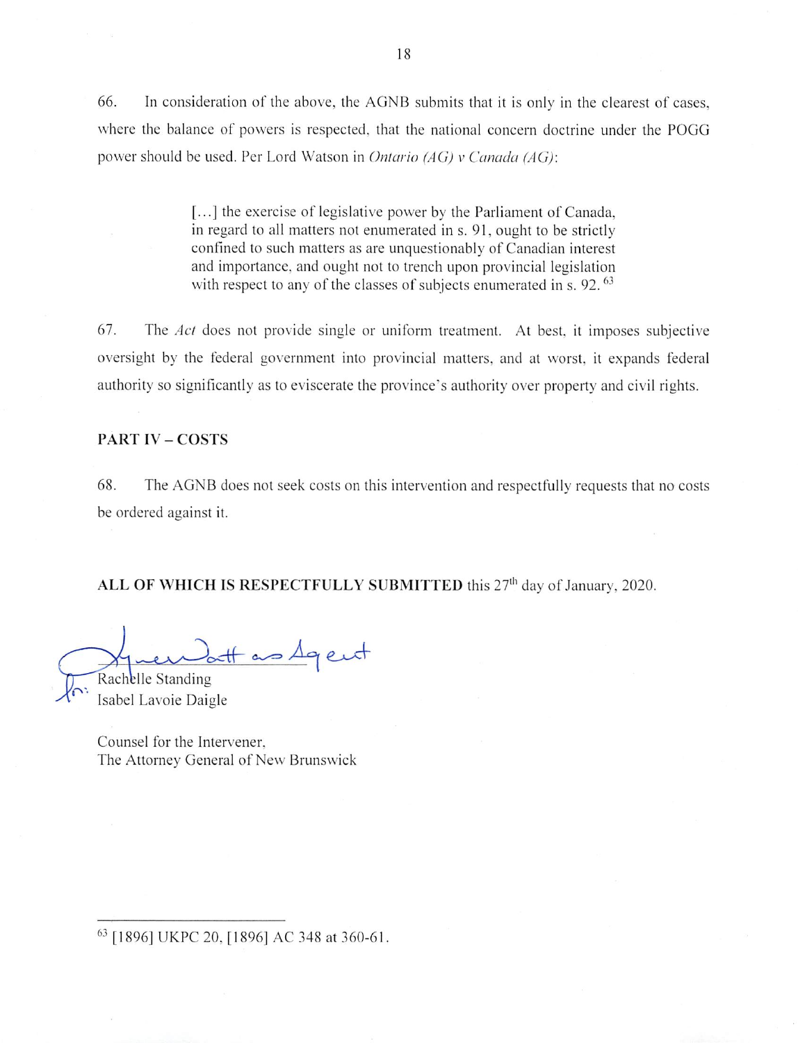66. In consideration of the above, the AGNB submits that it is only in the clearest of cases, where the balance of powers is respected, that the national concern doctrine under the POGG power should be used. Per Lord Watson in Ontario (AG) v Canada (AG):

> [...] the exercise of legislative power by the Parliament of Canada, in regard to all matters not enumerated in s. 91, ought to be strictly confined to such matters as are unquestionably of Canadian interest and importance, and ought not to trench upon provincial legislation with respect to any of the classes of subjects enumerated in s. 92.<sup>63</sup>

67. The Act does not provide single or uniform treatment. At best, it imposes subjective oversight by the federal government into provincial matters, and at worst, it expands federal authority so significantly as to eviscerate the province's authority over property and civil rights.

## **PART IV - COSTS**

68. The AGNB does not seek costs on this intervention and respectfully requests that no costs be ordered against it.

ALL OF WHICH IS RESPECTFULLY SUBMITTED this 27<sup>th</sup> day of January, 2020.

tt as Agent

Rachelle Standing Isabel Lavoie Daigle

Counsel for the Intervener. The Attorney General of New Brunswick

63 [1896] UKPC 20, [1896] AC 348 at 360-61.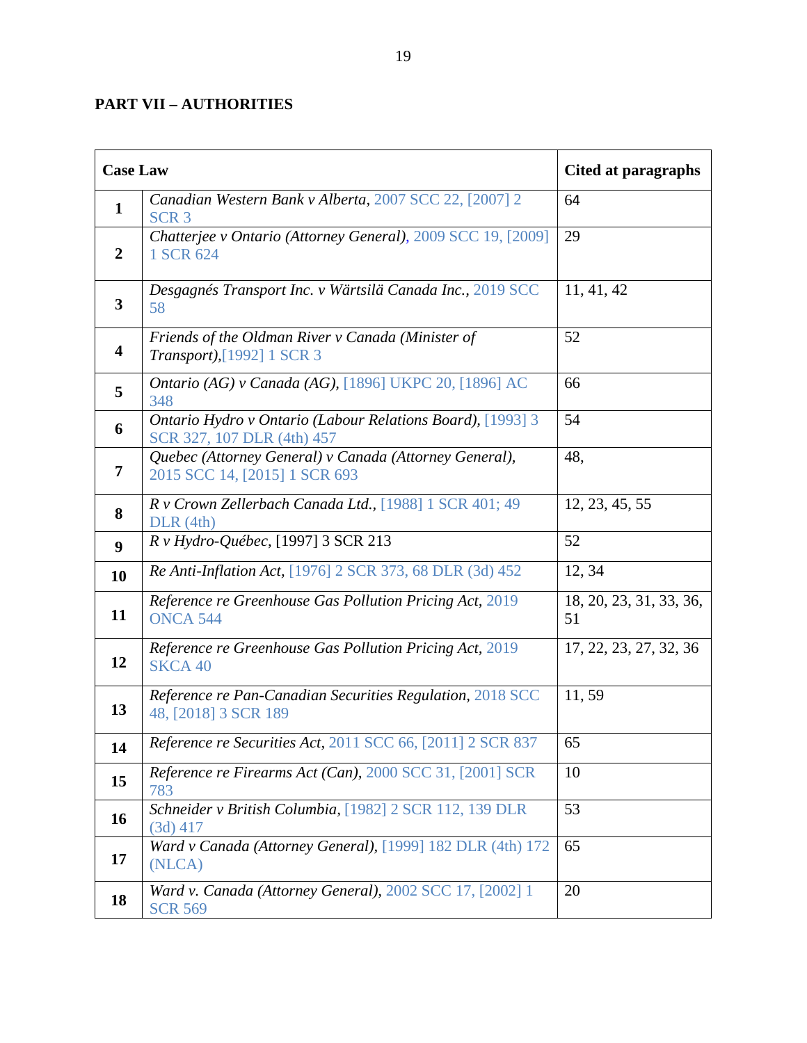# <span id="page-32-0"></span>**PART VII – AUTHORITIES**

| <b>Case Law</b>  |                                                                                          | Cited at paragraphs           |
|------------------|------------------------------------------------------------------------------------------|-------------------------------|
| $\mathbf 1$      | Canadian Western Bank v Alberta, 2007 SCC 22, [2007] 2<br>SCR <sub>3</sub>               | 64                            |
| 2                | Chatterjee v Ontario (Attorney General), 2009 SCC 19, [2009]<br>1 SCR 624                | 29                            |
| 3                | Desgagnés Transport Inc. v Wärtsilä Canada Inc., 2019 SCC<br>58                          | 11, 41, 42                    |
| 4                | Friends of the Oldman River v Canada (Minister of<br>Transport), [1992] 1 SCR 3          | 52                            |
| 5                | <i>Ontario (AG) v Canada (AG), [1896] UKPC 20, [1896] AC</i><br>348                      | 66                            |
| 6                | Ontario Hydro v Ontario (Labour Relations Board), [1993] 3<br>SCR 327, 107 DLR (4th) 457 | 54                            |
| 7                | Quebec (Attorney General) v Canada (Attorney General),<br>2015 SCC 14, [2015] 1 SCR 693  | 48,                           |
| 8                | R v Crown Zellerbach Canada Ltd., [1988] 1 SCR 401; 49<br>DLR(4th)                       | 12, 23, 45, 55                |
| $\boldsymbol{9}$ | R v Hydro-Québec, [1997] 3 SCR 213                                                       | 52                            |
| 10               | Re Anti-Inflation Act, [1976] 2 SCR 373, 68 DLR (3d) 452                                 | 12, 34                        |
| 11               | Reference re Greenhouse Gas Pollution Pricing Act, 2019<br><b>ONCA 544</b>               | 18, 20, 23, 31, 33, 36,<br>51 |
| 12               | Reference re Greenhouse Gas Pollution Pricing Act, 2019<br><b>SKCA 40</b>                | 17, 22, 23, 27, 32, 36        |
| 13               | Reference re Pan-Canadian Securities Regulation, 2018 SCC<br>48, [2018] 3 SCR 189        | 11,59                         |
| 14               | <i>Reference re Securities Act, 2011 SCC 66, [2011] 2 SCR 837</i>                        | 65                            |
| 15               | Reference re Firearms Act (Can), 2000 SCC 31, [2001] SCR<br>783                          | 10                            |
| 16               | Schneider v British Columbia, [1982] 2 SCR 112, 139 DLR<br>$(3d)$ 417                    | 53                            |
| 17               | Ward v Canada (Attorney General), [1999] 182 DLR (4th) 172<br>(NLCA)                     | 65                            |
| 18               | Ward v. Canada (Attorney General), 2002 SCC 17, [2002] 1<br><b>SCR 569</b>               | 20                            |